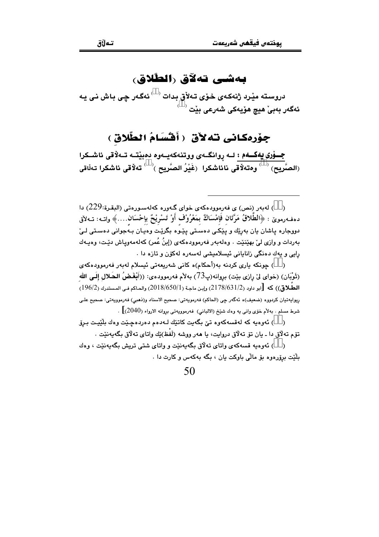#### بەشى تەلاق رالطلاق،

دروسته مێرد ژنهکەي خۆي تەلأق بدات <sup>( )</sup> ئەگەر چى باش نى يە ئەگەر بەبىٚ ھيچ ھۆيەكى شەرعى بێت <sup>‹ ›</sup>

#### جِوْرِهِكانِي نَهُ لَأَقَّ ﴿ أَقُسَامُ الطَّلَاقِ ﴾

جـــۆری یهکـــهم : لـــه روانگــهی ووتنهکهیــهوه دهبیّـتــه تــهلاقی ئاشــکرا الصَّريح)  $\langle\;\;\rangle$ ومتهلّاقى نائاشكرا  $\;\;$ فَيْرُ الصَّريح  $\langle\;\;\rangle$  تهلّاقى ئاشكرا تهلّاقى  $\;$ 

( ) لەبەر (نص) ي فەرموودەكەي خواي گەورە كەلەسورەتى (الىقرة:229) دا دەڧەرموێ : ﴿الطَّلاقُ مَرَّتَان فَإِمْسَاكٌ بِمَعْرُوْف أَوْ تَسْرِيْحٌ بِإِحْسَان....﴾ واتــه: تــهلأق دووجاره پاشان پان بهريّك و پێِکے دهستی پێوه بگرێت وهپان بـهجوانی دهستی لـیٚ بەردات و وازى لې بهێنێت . وهلەبەر فەرموودەكەي (إبنُ عُمر) كەلەمەوياش دێت، وەپـەك رايي و يەك دەنگى زانايانى ئېسلامېشى لەسەرە لەكۆن و تازە دا .

( ) جونکه باري کردنه به(أحکام)ه کاني شهريعهتي ئيسلام لهبهر فهرموودهکهي (ثَوْيَانِ) (خواي لِيّ رازي بيّت) بروانه(پ73) بهلأم فهرموودهي: ((أَنْغَضُ الحَلالِ إِلَي الله الطَّلاق)) كه  $\left[\right. \left[ \right. \left[ \right. \left[ (2018/650/1) \right] )$  وإبن ماجة (2/178/650/1) والحاكم في المستدرك (196/2) ريوابهتيان كردووه (ضعيف)ه ئهگەر جي (الحاكم) فەرمويەتى: صحيح الاسناد و(نـهـي) فەرموويەتى: صحيح علـي شرط مسلم . بهلأم خوّي واني به وهك شَيْخ (الالباني) فهرموويهتي بروانه الارواء (2040)] .

( ) ئەوەبە كە لەقسەكەوە تىْ بگەبت كاتتك لـەدەم دەردەچىيْت وەك بلَيْيت بىرۆ تۆم تەلاق دا ـ يان تۆ تەلاق دروايت، يا ھەر ووشە (لَفْظ)يْك واتاي تەلاق بگەيەنێت .

( ) ئەوەبە قسەكەي واتاي تەلاق بېەنىي وواتاي شتى ترېش بېەنىي ، وەك بلُٽِت پروُرووو پوَ مالّي پاوکت بان ، بيگه پهکهس و کارت دا .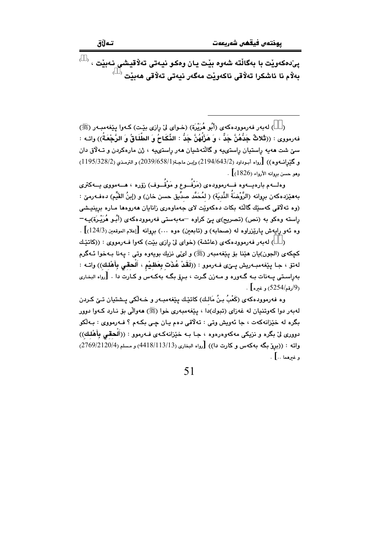$\overline{\phantom{a}}^{\circ}$ پی ده که ویت با بهگالته شهوه بیّت یان وهکو نیـهتی تهلاٌقیـشی نـهبیّت بەلام نا ئاشكرا تەلاقى ناكەوپْت مەگەر نيەتى تەلاقى ھەبِيْت  $\langle$ 

( ) له به ر فه رموود هکه ی (أَبُو هُرَيْرَة) (خـوای ليّ رازی بيّـت) کـهوا بيێغهمبـه ر (ﷺ) فهرمووي : ((تُلاثٌ جَدُّهُنَّ جَدٌّ ، وَ هَزْلَهُنَّ جَدٌ : الذِّكَاحُ وَ الطَّلَاقُ وَ الرَّجْعَةُ)) واتـه : سنی شت ههیه راستیان راستی یه و گالتهشیان ههر راستی یه ، ژن مارهکردن و تــهلاق دان و گَيْرانسەوە)) [رواه أبىوداود (2194/643/2) وإبن ماجة(1/658/658/1) و الترمذي (1195/328/2) وهو حسن بروانه الأرواء (1826)] .

وهلسهم بارهیسهوه فسهرموودهی (مَرْفُسوع و مَوْقُسوف) رْوّره ، هسهمووی یسهکتری بههێزدهكهن بروانه (الرَّوْضَةُ النَّديَة) ( لمُحَمَّد صدِّيق حسن خان) و (إبنُ القَيِّم) دهفـهرمێ : (وه تەلاقى كەسێك گالتە بكات دەكەوپت لاي جەماوەرى زانايان ھەروەھا مـارە برينيـشى راسته وهکو به (نص) (تصریح)ی یێ کراوه –مهبهستی فهرموودهکهی (أَبُـو هُرَیْـرَة)یـه– وه ئهو رايهش يارێزراوه له (صحابه) و (تابعين) هوه …) بروانه [إعلام الموقعين (124/3)] .

( ) لەبەر فەرموودەكەي (عائشة) (خواي ليْ رازي بيْت) كەوا فـەرمووي : ((كاتيْك كچكهي (الجون)يان هێنا بۆ پێغهمبهر (ﷺ) و ليمّي نزيك بويهوه وتى : پهنا بـهخوا ئـهگرم لەتۆ ، جا پێغەمبەريش پىێى فـەرموو : ((لَقَدْ عُذَت بِعَظِيْمٍ ، أَلْحقي بِأَهْلِك)) واتـه : بهراستی بیهنات بیه گیهوره و میهزن گرت ، بیروی یگیه بهکهس و کیارت دا . [رواه البخاری . (9<sub>/دقم/</sub>5254) وغيره].

وه فەرموودەكەي (كَعْبُ بنُ مَالـك) كاتێك يێغەمبـەر و خـەڵكى يـشتيان تـێ كـردن له به ر دوا که ويتنيان له غهزاي (تيوك)دا ، پيّغهمبه ري خوا (ﷺ) هه والّي يق نيارد كيهوا دوور .<br>بگره له خێزانهکهت ، جا ئهويش وټي : تهلاقي دهم يـان چـي بکـهم ؟ فـهرمووي : بـهلکو دووري ليٌ بگره و نزيكي مهكهوهرهوه ، جـا بـه خيّزانهكـهي فـهرموو : ((أَلْحقي بأَهْلُك)) واته : ((بروٌ بِگَه بِهِكَهِس و كارت دا)) [رواه البخاري (418/113/13) و مسلم (2769/2120/4) وغيرهما ..] .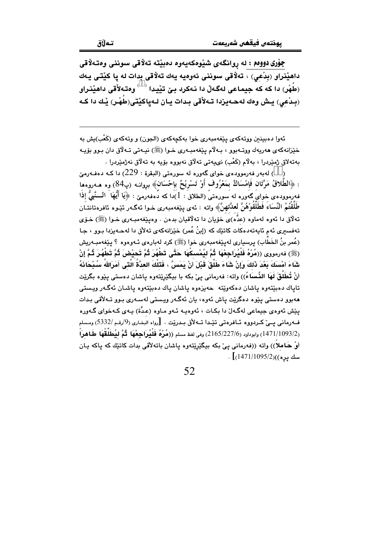جۆری دوومم : له روانگهی شێوهکهیهوه دهبێته تهلاقی سوننی وهتهلاقی داهێِنراو (بِدْعي) ، تەلاقى سوننى ئەوەيە يەك تەلاقى بدات لە يا كێتى يەك (طُهْر) دا که که جیماعی لهگهڵ دا نـهکرد بـێ تێیـدا  $\langle\;\;\rangle$ وهتـهلأقی داهێنـراو (بِلدْعي) يش وهك لهجهيزدا تـهلأقي بـدات يـان لـهياكيّتي(طُهْـر) يْـك دا كـه

ئەوا دەبينين ووتەكەي يێغەمبەرى خوا بەكچەكەي (الجون) و وتەكەي (كَعْب)يش بە خێزانهکهي ههريهك ووتـهبوو ، بـهلام بێغهمبـهري خـوا (ﷺ) نيـهتي تـهلاق دان بـوو بۆيـه بەتەلاق ژمێردرا ، بەلاّم (كَعْب) نىيەتى تەلاّق نەبووە بۆيە بە تەلاّق نەژمێردرا .

) له به ر فه رمووده ی خوای گهوره له سورهتی (البقرة : 229) دا کـه دهفـهرمیّ ( : ﴿الطَّلاقُ مَرَّتَانٍ فَإِمْسَاكٌ بِمَعْرُوفٍ أَوْ تَسْرِيْحٌ بِإِحْسَانٍ﴾ بروانـه (پ84) وه هــهروهما فه رمووده ي خواي گه وره له سورهتي (الطلاق : 1)دا که دهفه رميّ : ﴿يَا أَيُّهَا ۚ الْـــنَّبِيُّ إِذَا طَلَّقْتُمُ النِّسَاءَ فَطَلَّقَوْهُنَّ لعدَّتهنَّ﴾ واته : ئەي يێغەمبەرى خـوا ئەگـەر ئێـوە ئافرەتانتـان تهلاق دا ئەوە لەماوە (عدَّە)ى خۆيان دا تەلاقيان بدەن . وەيێغەمبـەرى خـوا (ﷺ) خـۆي تەفسىرى ئەم ئايەتەدەكات كاتێك كە (إبنُ عُمر) خێزانەكەي تەلاق دا لەحـەيزدا بـوو ، جـا (عُمر بنُ الخَطَابِ) پرسپاری لەيێغەمبەری خوا (ﷺ) کرد لەبارەی ئـەوەوە ؟ يێغەمبـەريش (ﷺ) فەرمورى ((مُرْهُ فَلْيُرَاجِعْهَا ۖ ثُمَّ ليُمْسكْهَا حَتَّى تَطْهُرَ ثُمَّ تَحيْضَ ثُمَّ تَطْهُرَ ثُمَّ إِنْ شَاءَ أمْسنَكَ بَعْدَ ذَلكَ وَإِنْ شَاءَ طَلَّقَ قَبْلَ أَنْ يَمَسَّ ، فَتَلْكَ العدَّةُ الَّتَى أَمَرَاللهُ سُبْحَاذَهُ أنْ تُطَلُّقَ لَهَا الذِّساءُ)) واته: فەرمانى ييّ بكه با بيگێرێتەوه ياشان دەستى يێوە بگرێت .<br>تاياك دەبێتەوە ياشان دەكەوێتە جەيزەوە ياشان ياك دەبێتەوە ياشـان ئەگـەر ويـستى هەبور دەستى يێوە دەگرێت ياش ئەوە، يان ئەگەر ويستى لەسـەرى بـور تـﻪلأقى بـدات یێش ئەوەي چیماعی لەگەلٌ دا یکات ، ئەوەببە ئەو ماوە (عدَّة) بىەي كەخواي گەورە ف1رماني يــيّ كـردووه ئــافرەتى تێـدا تــهلأق بـدرێت . [رواه البخـاري (9/رقـم /5332) ومـسلم .<br>(1471/1093/2) وابوداود (2165/227/6) وفي لفظ مسلم ((**صُرْهُ فَلْيُرَاجِعْهَا ثُمَّ ليُطَلِّقْهَا طَاهرَاً** أوْ هَـاملاً)) واته ((فەرمانى يـيْ بـكه بيـگێرێتەوه يـاشان باتـهلاقى بدات كاتێك كه ياكه يـان  $\frac{1}{2}$ سك يره))(1471/1095).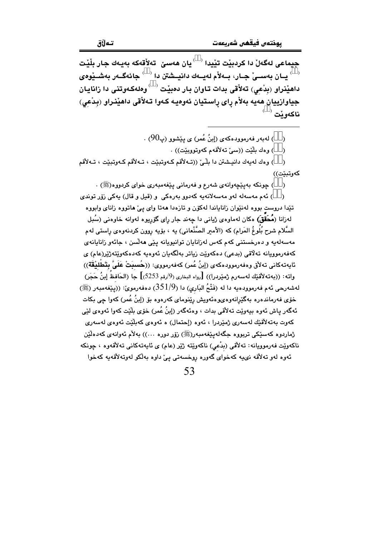حيماعي لهگەلْ دا كردېيْت تٽيدا <sup>( )</sup> يان ھەسى<sub>ّ</sub> تەلأقەكە بەيـەك جـار بِلْيْت يان بەســێ جـار، بــەلأم لەيــەك دانيــشتن دا $\sim$  جائەگــەر بەشــێوەي  $^{\circ}$ داهێِنراو (بدْعی) تهلأقی بدات تاوان بار دهبێت  $\langle$  وهلهکهوتنی دا زانایان جياوازييان هەيە بەلأم راى راستيان ئەوەيـە كـەوا تـەلأقى داھێنراو (بدْعى) ناكەويت

> ) لەبەر فەرموودەكەي (إبنُ عُمر) ي يێشوو (پ $90$ ) .  $\lambda$

> > ) وەك بِلَيْت ((سى تەلأقەم كەوتووبِيْت)) .  $\lambda$

) وهك لەيەك دانيـشتن دا بِلْـيِّ ((تـﻪلأقم كـﻪوتبێت ، تـﻪلأقم كـﻪوتبێت ، تـﻪلأقم  $\lambda$ كەوتىئت))

) چونکه بەپێچەوانەي شەرع و فەرمانى پێغەمبەرى خواي کردووە(ﷺ) .  $\rightarrow$ 

) ئەم مەسەلە لەر مەسەلانەيە كەدور بەرەكى و (قبل و قال) يەكى زۆر توندى  $\rightarrow$ تێدا دروست بووه لهنێوان زانایاندا لهکۆن و تازهدا ههتا وای پیّ هاتووه زانای وابووه لهزانا (**مُحَقّق)** مکان لهماوهي ژياني دا چهند جار راي گۆريوه لهوانه خاوهني (سُبل السَّلام شرح بُلُوغُ المَرام) كه (الأمير الصَّنْعاني) به ، بۆيه روون كردنهوەي راستى لهم مەسەلەپە و دەرخستنى كەم كەس لەزانايان توانيويانە يێې ھەلسن ، جائەو زانايانەي كەفەرموويانە تەلاقى (بدعى) دەكەويّت زياتر بەلگەيان ئەوەيە كەدەكەويّتەژيّر(عام) ي ئايەتەكانى تەلأق وەفەرموودەكەي (إبنُ عُمر) كەفەرمووى: ((حُسبَتْ عَلَيَّ بِتَطْليْقَة)) واته: ((بەتەلأقێك لەسەرم ژمێردرا)) [رواه البخارى (9/رقم 2253)] جا (الحَافظُ إبنُ حَجَر) لەشەرحى ئەم فەرموودەيە دا لە (فَتْحُ البَارِي) دا (351/9) دەفەرمويّ: ((يێفەمبەر (ﷺ) خۆی فەرماندەرە بەگێڕانەوەيوەئەويش رێنومای كەرەوە بۆ (إبنُ عُمر) كەوا چى بكات ئهگەر ياش ئەوە بيەوٽت تەلأقى بدات ، وەئەگەر (إينُ عُمر) خۆي بلّنت كەو! ئەوەي لٽي كەوت بەتەلاقێك لەسەرى ژمێردرا ، ئەوە (إحتمال) ە ئەوەي كەبلێت ئەوەي لەسەرى ژماردوه کەسێکى تربووه جگەلەيێغەمبەر(ﷺ) زۆر دورە …)) بەلام ئەوانەي كەدەلێن ناكەوپت فەرموويانە: تەلأقى (بدْعى) ناكەوپتە ژێِر (عام) ى ئايەتەكانى تەلأقەوە ، چونكە ئەوە لەو تەلاقە نىيە كەخواي گەورە روخسەتى يىّ داوە بەلكو لەوتەلاقەيە كەخوا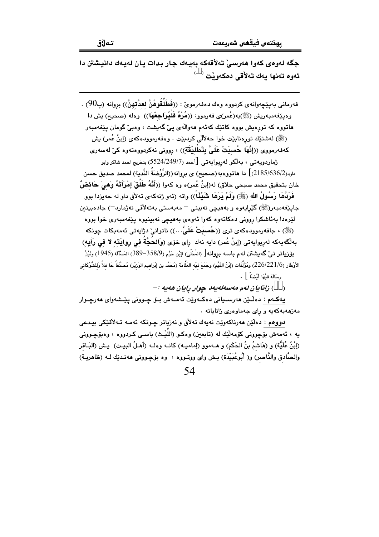جگه لهوهي كهوا ههرسيِّ تهلاُقهكه بهيهك جار بدات يان لهيهك دانيشتن دا ئەوە تەنھا يەك تەلأقى دەكەويْت <sup>(</sup>

فەرمانى بەيٽچەوانەي كردووە وەك دەفەرمويّ : ((فَطَلَقُوهُنَّ لعدَّتهنَّ)) بروانە (پ $90$ ) . وهيێغەمبەريش (ﷺ)بە(عُمر)ى فەرمور: ((مُرْهُ فَلْيُراجِعْهَا)) وەلە (صحيح) بِش دا هاتووه که تورهیش بووه کاتێك کهئهم ههوالهي ییّ گهیشت ، وهبیّ گومان یێغهمبهر (ﷺ) له شتنك تورهنابيّت خوا حه لألّى كردبيّت . وهفه رموودهكه ي (إبنُ عُمر) يش كەفەرمووى ((إِنَّهَا ۖ حُسبَتْ عَلَىَّ بِتَطْلِيْقَةٍ)) ، روونى نەكردووەتەوە كى لەسەرى ژماردوپەتى ، بەلكو لەرپواپەتى [أحمد (5524/249/7) بتخريج احمد شاكر وابو داود(2185/636/2)] دا هاتووهبه(صحيح) ی بروانه((الرَّوْضَةُ النَّدية) لمحمد صديق حسن خان بتحقيق محمد صبحي حلاق) له(إبنُ عُمر)ه وه كهوا ((أَنَّهُ طَلَّقَ إِمْرَأَتَهُ وَهِيَ حَائِضٌ فَرَدَّهَا رَسُولُ الله (ﷺ) ولَمْ يَرَهَا شَيْئًاً)) واته (ئهو ژنهکهی تهلأق داو له حهیزدا بوو جايێغەمبەرزﷺ) گێرايەوە و بەھىچى نەبىنى <sup>—</sup> مەبەستى بەتەلاقى نەژمارد<sup>\_</sup>) جادەبىنىن لێرەدا بەئاشكرا روونى دەكاتەوە كەوا ئەوەي بەھىچى نەبىنىوە يێغەمبەرى خوا بووە (ﷺ) ، جافەرموودەكەي ترى ((حُسبَتْ عَلَىَّ…)) ناتوانى دژاپەتى ئەمەبكات چونكە بهلْگەيەكە لەريوايەتى (إبنُ عُمر) دايە نەك راي خۆي (وَالحُجَّةُ في روايَته لا في رَأيه) بۆزياتر تى گەيشتن لەم باسە بروانە[ (المُطَّى) لإبْن حَزْم (358/9-389) المَسْأَلَة (1945) ونَيْلُ الأَوْطَار (226/221/6) ومُؤَلَّفَات (إِبْنُ القَيِّم) وجَمَعَ فيْه العَلَّامَة (مُحَمَّد بن إِبْرَاهيم الوَزِيْر) مُصَنَّفَاً حَا فلاً وَللشَّوْكَانى , سَالَة فَشْهَا أَنْضَاً } .

( ) زانايان لەم مەسەلەيەد چوار رايان ھەيە :-

يەكـﻪم : ﺩﻩﯓﻴﻦ ﻫﻪﺭﺳـﻴﺎﻧﻲ ﺩﻩﻛـﻪﻭﻳِّﺖ ﺋﻪﻣـﻪﺵ ﺑـﯚ ﭼـﻮﻭﻧﻲ ﻳﻴّـﺸﻪﻭﺍﻱ ﻫﻪﺭﭼـﻮﺍﺭ مەزھەبەكەبە و راي جەماۋەرى زانابانە .

دووهم : دەلێن ھەرناكەوێت نەپەك تەلاق و نەزياتر چـونكە ئەمـە تـەلاقێكى بيـدعى يه ، ئەمەش بۆچوونى كۆمەلكك لە (تابعين) وەكـو (اللَّٰدِث) باسـى كـردووە ، وەبۆچـوونى (إِبْنُ عُلَيَّة) و (هَاشمُ بنُ الحَكَم) و هـﻪموو (إماميـﻪ) كانـﻪ وهك (أهـلُ البيـت) يـش (البَـاقر والصَّادق والنَّاصر) و( أَبُوعُبَيْدَة) يـش واي ووتـووه ، وه بۆچـوونى هەنـدێك لـه (ظاهريـة)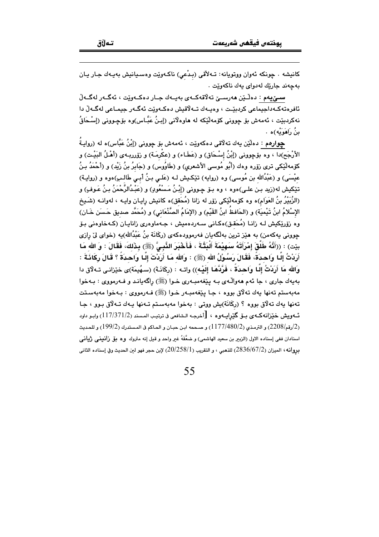كانيشه . چونكه ئەوان ووتويانه: تــهلأقى (بـدْعى) ناكـهوێت وەسـيانيش بەيـەك جـار يـان بەچەند جارێك لەدواي يەك ناكەوێت .

سميٰ يهم : دەڵێن ھەرسىيْ تەلاقەكــەي بەيــەك جـار دەكــەوێت ، ئەگــەر لەگــەلّ ئافرەتەكـەداجىماعى كردېئـت ، وەبـەك تـەلاقىش دەكـەوێت ئەگـەر جىمـاعى لەگـەلْ دا نهکردبێت ، ئەمەش بۆ چوونى کۆمەڵێکە لە ھاوەلانى (إبنُ عَبَّـاس)وە بۆچـوونى (إسْـحَاقُ منُ رَاهَوَيْهِ)هِ ،

جوارهم : دەلٽن يەك تەلاقى دەكەوپت ، ئەمەش بۆ چوونى (إبْنُ عَبَّاس)ە لە (روايـةُ الأرْجَح)دا ، وه بۆچوونى (إِبْنُ إِسْحَاق) و (عَطَاء) و (عكْرِمَـة) و زۆرريـهى (أَهْـلُ البَيْـت) و كۆمەلّاكى ترى زۆرە وەك (أَبُو مُوسى الأشعرى) و (طَاوُوس) و (جَابرُ بنُ زَيْد) و (أَحْمَدُ بـنُ عيْسَى) و (عَبْدُالله بن مُوسى) وه (روايه) تێکـيش لـه (عَلـى بـنُ أبـى طَالـبِ)ەوه و (روايـة) تێکیش له(زید بـِن علـی)ەوه ، وه بـِۆ چـوونی (إِبْـنُ مَـسْعُودٍ) و (عَبْـدُالرَّحْمَنُ بـنُ عَـوفٍ) و (الزُّبَيْرُ بنُ العَوَام)ه وه كۆمەڵێكى زۆر له زانا (مُحَقّ)ه كانيش رايـان وايـه ، لهوانـه (شَـيخ الإسْلامُ ابنُ تَيْميَة) و (الحَافظُ ابنُ القَيِّم) و (الإمَامُ الصَّنْعَاني) و (مُحَمَّد صديق حَسنَن خَـان) وه زۆرپکیش لــه زانــا (مُحَقـق)ەکـانى ســەردەمیش ، جــهماوەرى زانايــان (کــهخاوەنى بـۆ چوونی پهکهمن) به هێز ترین بهلگهپان فهرموودهکهی (رکَانَة بنُ عَبْدُالله)په (خوای لیٌ رازی بيّت) : ((أَنَّهُ طَلَّقَ إِمْرَأَتَهُ سَهِيْمَةَ أَلْبَتَّةَ ، فَأَخْبَرَ النَّبِيَّ (ﷺ) بِذَلكَ، فَقَالَ : وَ الله مَا أَرَدْتُ إِلَّـا وَاحـدَةً، فَقَالَ رَسُـوْلُ الله (ﷺ) : وَالله مَـا أَرَدْتَ إِلَّـا وَاحـدَةً ؟ قَـالَ ركَانَـةَ : وَالله مَا أَرَدْتُ إِلَّـا وَاحدَةُ ، فَرَّدَّهَا إِلَيْـه)) واتـه : (ركَانَـةَ) (سـهُيمَة)ى خيْزانـى تـهلاق دا بهيهك جاري ، جا ئهم ههوالّـهي بـه يێغهمبـهري خـوا (ﷺ) راگهيانـد و فــهرمووي : بـهخوا مەبەستم تەنھا يەك تەلاق بورە ، جـا پێغەمبـەر خـوا (ﷺ) فـەرمورى : بـەخوا مەبەسـتت تەنھا يەك تەلاق بووە ؟ (ركَانَة)يش ووتى : بەخوا مەبەستم تـەنھا يـەك تـەلاق بـوو ، جـا ئــهويش خێزانهكـهي بــۆ گێرِاپــهوه ، [أخرجـه الـشافعي في ترتيـب المـسند (2/17/371/2) وابـو داود ر2/رقم/2208) و الترمذي (2/480/2117) و صححه ابن حبـان و الحـاكم في المـستدرك (199/2) و للحـديث اسنادان ففي إسناده الاول (الزبير بن سعيد الهاشمي) و ضعَّفَهُ غير واحد و قبل إنه متروك وه بلِّ زانميني ژياني بروانه، الميزان (2836/67/2) للذهبي ، و التقريب (20/258/1) لإبن حجر فهو لين الحديث وفي إسناده الثاني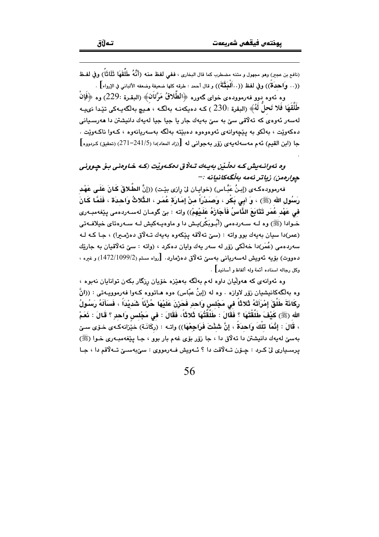(نافع بن عجر) وهو مجهول و متنه مضطرب كما قال البخاري ، ففي لفظ منه (أَنَّهُ طَلَقَهَا ۖ ثَلَاثًا ) وفي لفـظ .<br>((. . وِاحدَةٌ)) وفي لفظ ((. · أَلْمَتَّةٌ)) و قال أحمد : طرقه كلها ضعيفة وضعفه الألباني في الإرواء] .

وه ئەوە بىوو فەرموودەي خواي گەورە ﴿الطَّلاقُ مَرَّتان﴾ (البقرة :229) وە ﴿فَإِنْ طْلَقَهَا فَلا تَحلُّ لَهُ﴾ (البقرة :230 ) كـه دهيكه نـه بهلگـه ، هـيـم بهلگهيـهكي تئيدا نهيبه لەسەر ئەوەي كە تەلاقى سىّ بە سىّ بەيەك جار يا جيا جيا لەيەك دانيشتن دا ھەرسىيانى دهکەوێت ، بەلکو بە يێچەوانەي ئەوەوەوە دەبێتە بەلگە بەسەريانەوە ، كـەوا ناكـەوێت . جا (ابن القيم) ئه م مهسهلهبهي زوّر بهجواني له [(زاد المعاد)دا (241/5–271) (تحقيق) كردووه]

وه ئەوانىەىش كىه دەلىلى بەيبەك تىلاق دەكبەرلت (كىه خاوەنى بىق چوونى حوارمون) زباتر ئەمە بەلگەكانيانە :-

فهرموودهكهى (إِبنُ عَبَّاس) (خوايـان لِيّ رازِي بِيّت) ((إِنَّ الطَّلاقَ كَانَ عَلَـى عَهْد رَسُول الله (ﷺ) ، وَ أَبِي بَكْرٍ ، وَصَدْرَاً منْ إِمَارَة عُمَرٍ ، الذُّلاثُ وَاحدَة ، فَلَمَّا كَانَ في عَهْد عُمَر تَتَابَعَ الذَّاسُ فَأَجَازَهُ عَلَيْهِمْ)) واته : بيّ گومـان لهسـهردهمي يێغهمبـهري خـوادا (ﷺ) وہ لــه ســهردِهمی (أُبُـوبَكْر)بــش دا و ماوهبــهكيش لــه ســهروتاي خيلافــهتي (عمر)دا سيان بهيهك بوو واته : (سيّ ته لاقه يێكهوه بهيهك تـه لاق ده ژمـيرا) ، جـا كـه لـه سەردەمى (عُمَر)دا خەلْكى زۆر لە سەر يەك وايان دەكرد ، (واتە : سێ تەلاقيان بە جارێك دەووت) بۆيە ئەويش لەسەريانى بەسىٌ تەلاق دەژمارد. [رواە مسلم (1099/2/1099) و غيرە ، وكل رجاله اسناده أئمة وله ألفاظ و أسانيد] .

وه ئەوانەي كە ھەولليان داوە لەم بەلگە بەھێزە خۆيان رزگار بكەن توانايان نەبوە ، وه بهالگهکانیشیان زۆر لاوازه . وه له (إبنُ عبّاس) هوه هـاتووه کـهوا فهرموویـهتـی : ((انَّ رِكَانَةَ طَلُقَ إِمْرَأَتَهُ ثَلاثًا في مَجْلِس وَاحدٍ فَحَرْنَ عَلَيْهَا حُزْنَا شَديْدَا ، فَسَأَلَهُ رَسُولُ الله (ﷺ) كَيْفَ طَلَّقْتَهَا ؟ فَقَالَ : طَلَّقْتُهَا ثَلاثًا ، فَقَالَ : فِي مَجْلِسِ وَاحِدٍ ؟ قَالَ : نَعَمْ ، قَالَ : إِنَّمَا تلكُ وَاحدَة ، إِنَّ شَئْتَ فَرَاجِعْهَا)) واتـه : (ركَانَـة) خيْزانهكـهى خـوّى سـيّ بهسيّ لهيهك دانيشتن دا ته لاق دا ، جا زۆر بۆي غهم بار بوو ، جـا يێغهمبـهري خـوا (ﷺ) پرسـڀاري ليّ کـرد : ڇـۆن تــهلاقت دا ؟ ئــهويش فــهرمووي : سيّ،بهسـيّ تــهلاقم دا ، جـا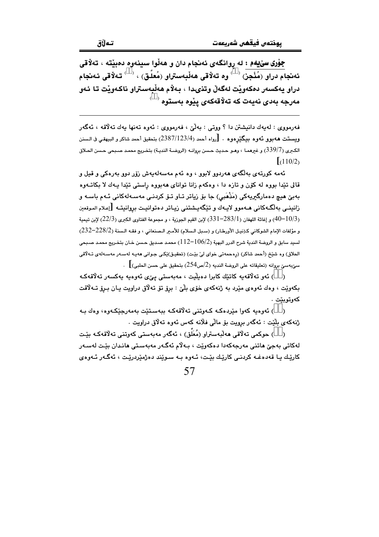جوْري سيِّيهم : له روانگهي ئهنجام دان و ههڵوا سينهوه دهبيّته ، تهلاًقي ئەنجام دراو (مُنْجِز)  $\rightarrow$ وه تەلاقى ھەلْبەستراو (مُعلّق) ،  $\rightarrow$  تەلاقى ئەنجام دراو يەكسەر دەكەويت لەگەلْ وتنىدا ، بەلام ھەلْبەستراو ناكەويت تا ئەو  $^\circ$  مەرجە بەدى نەيەت كە تەلاقەكەي يێوە بەستوە

فهرمووي : لهيهك دانيشتن دا ؟ ووتي : بهڵيّ ، فهرمووي : ئهوه تهنها يهك تهلاقه ، ئهگهر ويستت ههبوو ئهوه بيگێرهوه . [رواه أحمد (2387/123/4) بتحقيق أحمد شاكر و البيهقي فى الـسنن الكبرى (339/7) و غيرهمـا ، وهـو حـديث حـسن بروانـه (الروضـة النديـة) بتخـريج محمـد صـبحى حـسن الحـلاق  $(110/2)$ 

ئەمە كورتەي بەلگەي ھەردوو لابوو ، وە ئەم مەسەلەيەش زۆر دوو بەرەكى و قيل و قالي تێدا بووه له کۆن و تازه دا ، وهکهم زانا تواناي ههبووه راستي تێدا پـهك لا بکاتـهوه بەبىّ ھيچ دەمارگىريەكى (مَذْهَبى) جا بۆ زياتر تـاو تـۆ كردنـى مەسـەلەكانى ئـەم باسـە و زانینــی بهلگـهکانـی هــهموو لایــهك و تێِگهیـشتنـی زیـاتر دهتوانیـت بروانیتــه [إعـلام المـوقعين و إغاثة اللهفان (283/1−28) لإبن القيم الجوزية ، و مجموعة الفتاوى الكبرى (22/3) لإبن تيمية (22/3) لإبن تيمية  $\sim$ 40−10/3) و مؤلفات الإمام الشوكاني كـ(نيـل الأورطـار) و (سـبل الـسلام) للأمـير الـصنعاني ، و فقـه الـسنة (228/2-232) لسيد سابق و الروضة الندية شرح الدرر البهية (106/2–112) محمد صديق حسن خـان بتخـريج محمـد صـبحي الحلاق) وه شێخ (أحمد شاکر) (رِهحمەتی خوای لیّ بێت) (تحقیـق)ێکـی جـوانی هەیـه لەسـەر مەسـەلەی تـﻪلاقی .. [المتابعين بروانه (تعليقاته على الروضة النديه (2/ص $2$ 4) بتحقيق على حسن الحلبي)

( ) ئەر تەلاقەبە كاتتك كابرا دەبلىت ، مەبەستى بى ئەرەبە بەكسەر تەلاقەكە بکهونيت ، وهك ئهوهي مێرد به ژنهکهي خوّي بلّيّ : برق توّ تهلّاق دراويت يـان بـرق تــهلاقت كەوتوپتت .

( ) ئەوەبە كەو! مێردەكە كەوتنى تەلاقەكە بېەسىتێت بەمەرجێكەوە، وەك بە .<br>ژنهکهي بلَيْت : ئهگهر برويت بۆ مالّي فلانه کهس ئهوه تهلاق دراويت .

( ) ھوكمى تەلاقى ھەلبەستراو (مُعَلّق) ، ئەگەر مەبەستى كەوتنى تەلاقەكـە بێت لەكاتى بەجن ھاتنى مەرجەكەدا دەكەوێت ، بـﻪلّام ئەگـەر مەبەستى ھانىدان بێت لەسـەر کاريك يا قەدەغـﻪ كردنـي كاريْك بيْـت، ئـﻪوە بـﻪ سـويْند دەژمێردريْـت ، ئەگـﻪر ئـﻪوەي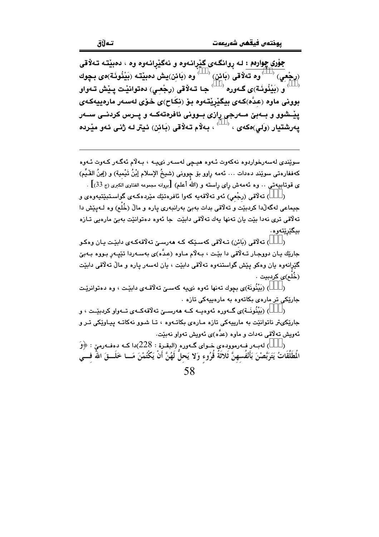جوْری چوارهم : لـه روانگـهی گێرانـهوه و نـهگێرانـهوه وه ، دهبێتـه تـهلاقی (رجْعي)  $\overline{\phantom{a}}$ وه تەلاقى (بَائن)  $\overline{\phantom{a}}^{\prime}$ وه (بَائن)يش دەبێتە (بَيْنُونَـة)ەي بـڃوك ( و (بَيْنُونَـة)ي گـهوره  $\rightarrow$  جـا تـهلاقي (رجْعـي) دەتوانێت پـێش تـهواو بوونی ماوه (عدَّه)کەی بیگیریقەوه بۆ (نکَاح)ی خۆی لەسەر مارەييەکەی يێــشوو و بــهبيّ مــهرجي رازي بــووني ئافرهتهكــه و يــرس كردنــي ســهر .<br>يەرشتيار (وَلى)ەكەي ، <sup>‹ `</sup> ، بەلام تەلاقى (بَائن) ئيتر لە ژنى ئەو مێردە

سوێندی لەسەرخواردوه نەكەوت ئـەوە ھیـڃى لەسـەر نىيـە ، بـەلاّم ئەگـەر كـەوت ئـەوە كەففارەتى سوێند دەدات … ئەمە رِاوو بۆ چوونى (شىيخُ الإسلام إبْنُ تَيْمية) و (إِمِنُ القُّـيِّم) ى قوتـابـيـهـتـى . . وه ئـهمهـش راى راستـه و (اللهُ أعلم) [بروانه مجموعه الفتاوى الكبرى (ج 33)] .

) تەلاقىي (رجْعى) ئەو تەلاقەيە كەوا ئافرەتێك مێردەكەي گواسـتبێتيەوەي و  $\lambda$ جیماعی لهگهڵدا کردبیٚت و تهلٌاقی بدات بهبیٚ بهرانبهری پاره و مالْ (خُلْع) وه لـهپیٚش دا تەلاقى ترى نەدا بێت يان تەنھا يەك تەلاقى دابێت جا ئەوە دەتوانێت بەبێ مارەيى تـازە بيگێرێتەوە.

) تەلاقى (بَائن) تـﻪلاقى كەسـێكە كـﻪ ھەرسـێ تەلاقەكـﻪي دابێت يـان وەكـو  $\lambda$ جارێك يـان دووجـار تــهڵاقي دا بێت ، بــهڵام مــاوه (عـدّه)ى بهسـهردا تێپـهر بـووه بـهبيّ گێږانهوه یان وهکو پێش گواستنهوه تهلاقی دابێت ، یان لهسهر پاره و مالٌ تهلاقی دابێت .<br>(خُلْع)ی کردېيت ۰

) (بَيْنُونَة)ي بِجِوك تەنھا ئەوە نىيە كەسىێ تەلاقـەي دابێت ، وە دەتوانرێت جارێکی تر مارهی بکاتهوه به مارهبیهکی تازه ۰

) (بَيْنُونَــة)ي گــهوره ئهوهيــه كــه ههرســـيّ تهلّاقهكــهي تــهواو كرديئــت ، و جارێکیټر ناتوانێت به ماریپهکی تازه مـارهی بکاتـهوه ، تـا شـوو نهکاتـه پـیـاوێکی تـر و ئەويش تەلاقى نەدات و ماوە (عدَّە)ى ئەويش تەواو نەبێت.

) له به رف ومووده ي خــواى گــهوره (البقـرة : 228)دا كــه دهفــهوميّ : ﴿وَ  $\lambda$ الُطَلَّقَاتُ يَتَرَبَّصْنَ بَأَنْفُسهنَّ ثَلاثَةُ قُرُوء وَلا يَحلُّ لَهُنَّ أَنْ يَكْتُمْنَ مَــا خَلَـــقَ اللهُ فـــي 58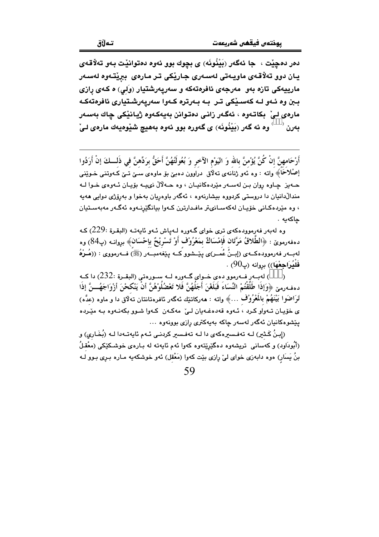دەر دەچێت ، جا ئەگەر (بَيْنُونَه) ى بچوك بوو ئەوە دەتوانێت بەو تەلاقەى يان دوو تەلاقەي ماويەتى لەسەرى جارێكى تر مارەي بېێتەوە لەسەر مارييهکی تازه بهو مەرجەی ئافرەتەکە و سەريەرشتيار (وَلَى) ە كـەی رازی ببن وه ئـهو لـه كەسـێكى تـر بـه بـهرتره كـهوا سەريەرشـتيارى ئافرەتەكـه مارەي لـيْ بكاتـەوە ، ئەگـەر زانـي دەتـوانن بەيەكـەوە ژيـانێكي چاك بەسـەر  $\check{\mathbf{u}}$ بەرن  $\check{\mathbf{u}}_j$ وہ ئه گەر (بَيْنُونَه) ی گەورە بوو ئەوە بەھیچ شَيْوەيەك مارەی لـى

أَرْحَامهنَّ إنْ كُنَّ يُؤْمنَّ بالله وَ اليَوْمِ الآخرِ وَ بُعُولَتُهُنَّ أَحَقُّ برَدِّهنَّ في ذَلــكَ إنْ أَرَدُوا اِصْلاَحَا﴾ واته : وه ئەو ژنانەي تەلاق دراوون دەبىٌ بۆ ماوەي سىيْ تىيْ كـەوتنى خـوێنىي حـهيز چـاوه روان بـن لهسـهر مێردهکانيـان ، وه حـهلآلْ نوييـه بۆيـان ئـهوه $\zeta$  خـوا لـه مندالٌدانیان دا دروستی کردووه بیشارنهوه ، ئهگهر باوهریان بهخوا و بهروّژی دوایی ههیه ، وه مێردهکانی خۆپان لهکهسانىتر مافدارترن کـهوا بيانگێرنـهوه ئهگـهر مهبهسـتيان چاكەيە .

وه لەبەر فەرموودەكەي ترى خواي گـەورە لـەياش ئـەو ئايەتـە (البقـرة :229) كـە دەفەرموێ : ﴿الطَّلاقُ مَرَّتَان فَإِمْسَاكٌ بِمَعْرُوْف أَوْ تَسْرِيْحٌ بِإِحْسَان﴾ بروانــه (پ84) وه لهبــهر فهرموودهكــهى (إبــزُ عُمــر)ى پێــشوو كــه پێغهمبــهر (ﷺ) فــهرمووى : ((هُــوْهُ فَليُرَاجِعْهَا)) بروانه (پ $90$ ) .

) لهبـهر فـهرموو دهى خـواى گـهوره لـه سـورهتى (البقـرة :232) دا كـه  $\lambda$ دهف رميرٌ ﴿وَإِذَا طَلَّقْتُمْ النِّسَاءَ فَبَلَغْنَ أَجَلُهُنَّ فَلا تَعْضُلُوْهُنَّ أَنْ يَنْكحْنَ أزْوَاجَهُـــنَّ إذَا تَرَاضَوا بَيْنَهُمْ بِالْمُرُوْف ...﴾ واته : هەركاتێك ئەگەر ئافرەتانتان تەلّاق دا و ماوە (عدَّه) ی خۆپان تـهواو کـرد ، ئـهوه قهدهغـهبان لـے ّ مهکـهن کـهوا شـوو بکهنـهوه بـه مێـرده يێشوهکانيان ئەگەر لەسەر چاکە بەيەكترى رازى بوونەوه ...

(إِبِنُ كَـٰثِر) لـه تەفـسرەكەي دا لـه تەفـسر كردنـي ئـهم ئاپەتـەدا لـه (بُخَـارِي) و (أَبُودَاوِد) و کهسانی تریشهوه دهگیرینتهوه کهوا ئهم ئایهته له بـاره $\zeta$  خوشـکیْکی (معْقـلُ بنُ يَسَار) هوه دابهزی خوای لیٌ رِازی بیّت کهوا (مَعْقل) ئهو خوشکهیه مـاره بـرِی بـوو لـه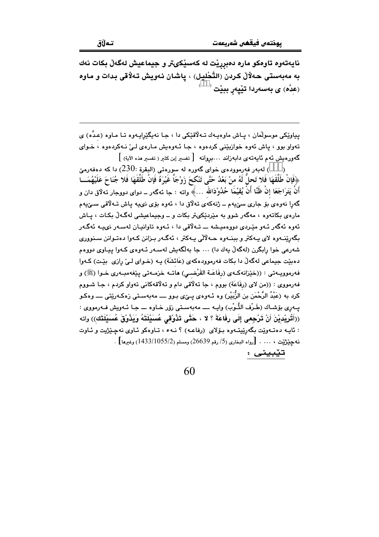نايهتەوه تاوەكو مارە دەبرريت له كەسپكىتر و جيماعيش لەگەلْ بكات نەك به مەبەستى حەلالٌ كردن (التَّحْلِيل) ، پاشان ئەويش تەلاقى بدات و ماوه (عدَّه) ی بهسهردا تبْیهر ببیْت <sup>(</sup>

پیاوێکی موسولْمان ، پـاش ماوهیـهك تـهلاّقێکی دا ، جـا نهیگێرایـهوه تـا مـاوه (عـدّه) ی تهواو بوو ، پاش ئەوه خوازبێنی کردهوه ، جا ئـهوهیش مـارهى لـیٚ نـهکردهوه ، خـوای گەورەيش ئەم ئايەتەي دابەزاند …بروانە [تفسير إبن كثير ( تفسير هذه الآية) ]

لەبەر فەرموودەي خواي گەورە لە سورەتى (البقرة :230) دا كە دەفەرمىّ  $\,$ ﴿فَإِنْ طَلَّقَهَا فَلا تَحلَّ لَهُ منْ بَعْدُ حَتَّى تَنْكَحَ زَوْجَاً غَيْرَهُ فَإِنْ طَلَّقَهَا فَلا جُنَاحَ عَلَيْهُمَــا أَنْ يَتَوَاجَعَا إِنْ ظُنَّا أَنْ يُقَيْمَا حُدُوْدَالله …﴾ واته : جا ئەگەر ــ دواي دووجار تەلاق دان و گەرا نەوەي بۆ جارى سىّيەم ــ ژنەكەي تەلاق دا ، ئەوە بۆي نىيە ياش تـەلاقى سـىّيەم مارهي بکاتهوه ، مهگهر شوو به مێردێکیټر بکات و ــ وجیماعیشی لهگـهڵ بکـات ، پـاش ئەوە ئەگەر ئىەو مێردى دوۋەميشە ـــ تــەلاقى دا ، ئـەوە تاوانيـان لەسـەر نىيــە ئەگـەر بگەرێنــهوه لای پــهکتر و بېنــهوه حــهلالی پــهکتر ، ئـهگــهر بــزانن کــهوا دهتــوانن ســنووری شەرعى خوا رابگرن (لەگەلْ يەك دا) ... جا بەلگەيش لەسـەر ئـەوەي كـەوا ييـاوي دووەم دهبيّت جيماعي لهگهڵ دا بکات فهرموودهکهي (عَائشَة) پـه (خـواي لـيّ رازي بيّـت) کـهوا فهرموويــهتي : ((خێزانهكـهي (رفَاعَــة القَرْضــي) هاتــه خزمــهتي بيێغهمبــهري خــوا (ﷺ) و فهرمووي : ((من لاي (رفاعَة) بووَم ، جا تهلاًقي دام و تهلاًقهکاني تهواو کردم ، جـا شـووم کرد به (عَبْدُ الرَّحْمَن بن الزَّبَيْرِ) وه ئـهوهى يــێى بـوو ــــ مه بهسـتى زهکـهرێتى ـــــ وهکـو يــهري بۆشـاك (طَـرْف الثَّـوْب) وايـه ــــ مهبەسـتى زۆر خـاوه ـــ جـا ئـهويش فـهرمووي : ((أَتُرِيْديْنَ أَنْ تَرْجِعِي إِلَى رِفَاعَةَ ؟ لا ، حَتَّى تَذُوْقِي عُسَيْلَتَهُ وَيَذُوْقَ عُسَيْلَتَك)) واته : ئايـه دەتـەوێت بگەرێيتـەوە بـۆلاى (رفاعـه) ؟ نـهء ، تـاوەكو ئـاوى نەچـێژيت و ئـاوت نه حِيْرْتِيْت ، … . [رواه البخاري (5/ رقم 26639) ومسلم (1433/1055/2) وغيرها] . تێبيني :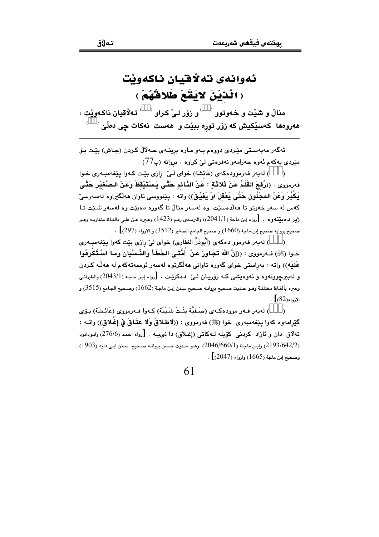## ئەوانەي تەلاقيان ناكەوپت (الَّذَيْنَ لاَيَقَعْ طَلاقُهُمْ)

منالٌ و شَيْت و خەوتوو $\langle\quad\rangle$ و زۆر لـيٌ كـراو $\langle\quad\rangle$  تـه $\check{\bf g}$ قيان ناكـهويْت ،  $\overline{\phantom{a}}^{\circ}$ هەروەھا كەسێكيش كە زۆر تورە ببێت و ھەست نەكات چى دەڵێ

ئەگەر مەبەستى مێردى دووەم بـەو مـارە برينـەي ھـەلالْ كـردن (جـاش) بێت بۆ مٽِردي بهکهم ئهوه حهرامهو نهفرمتي ليّ کراوه . بروانه (پ77) .

) لهبهر فهرموودهکهی (عَائشَة) خوای لـی ّ رِازی بیّدت کـهوا پیّفهمبـهری خـوا فەرمووى : ((رُفعَ القَلَمُ عَنْ ثَلاثَةٍ : عَنْ الذَّائم حَتَّى بَسْتَيْقظَ وَعَنْ الصَّغَيْرِ حَتَّى يَكْبُرَ وَعَنْ المَجْنُونِ حَتَّى يَعْقَلَ أَوْ يَفَيْقَ)) واته : يێنووسي تاوان هەلگیراوه لەسەرسیٚ کهس له سهر خهوتو تا ههلَّدمسێت اوه لهسهر منالٌ تا گهوره دهبێت وه لهسهر شبێت تـا .<br>ريو ده بينتهوه . [رواه إبن ماجة (2041/1)) والترمذي رقـم (1423) وغـيره عـن علـي بالفـاظ متقاريـه وهـو .<br>منحيح بروايه صحيح إبن ماجة (1660) و صحيح الجامع الصغير (3512) و الارواء (297)  $\,$  .

) لهبهر فهرموو دهكهي (أُبُوذَرٌّ الغَفَارِي) خواي ليّ رازي بيّت كهوا ييّغهمبـهري  $\lambda$ خـوا (ﷺ) فـه رمووي : ((إِنَّ اللَّهَ تَجَـاوَزَ عَنْ ۖ أُمَّتَـى الخَطَـأَ وَالذِّسْبِيَانَ وَمَـا اسْتُكْرِهُوا عَلَيْه)) واته : بەراستى خواي گەورە تاوانى ھەلگرتوە لەسەر ئوممەتەكەم لە ھەڭە كـردن و له بيرجوونهوه و پُهوهيشي کـه رۆرپيان لـيْ \_دهکريّـت . [رواه إين ماجة (2043/1) والطيراني وغيره بألفـاظ مختلفـة وهـو حـديث صـحيح بروانـه صـحيح سـنن إبـن ماجـة (1662) وصـحيح الجـامع (3515) و  $\lbrack \cdot \rbrack$  (82)

) لهبهر فـهر موودهكـهى (صَـفيَّة بِنْـتُ شَـيْبَة) كـهوا فـهرمووى (عَائـشَة) بِـوّي  $\lambda$ كَيْرامەوه كەوا يێغەمبەرى خوا (ﷺ) فەرمووى : ((لاطّلاقّ وَلا عقّاقّ فى إغْلاق)) واتــه : ـ<br>تەلاق دان و ئازاد كردنبي كۆيلە لـەكاتى (إغـلاق) دا نىميــە . [رواه احمد (276/6) وابـودادود (2193/642/2) وإبن ماجة (2046/660/1) وهو حديث حسن بروانه صبحيح سنن ابي داود (1903) . وصحيح إين ماجة (1665) وإرواء (2047)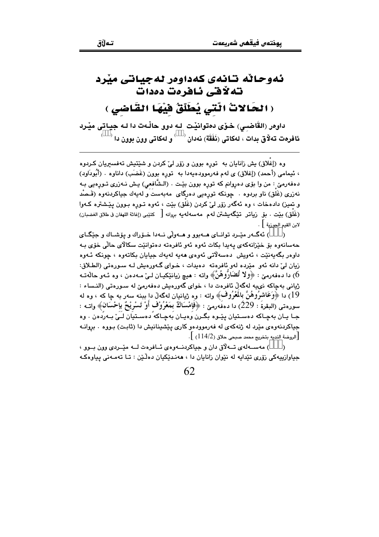## ئەوحاٹە تانەي كەداوەر لەجياتى مێرد تەلاقى ئافرەت دەدات (الحَالاتُ الَّتَى يُطَلِّقُ فَيْهَا القَاضى )

داوهر (القَاضبي) خـوّى دهتوانيْـت لـه دوو حالّـهت دا لـه جيـاتى ميّـرد ئافرەت تەلاق بدات ، لەكاتى (ئَفَقَة) نەدان <sup>( )</sup> و لەكاتى وون بوون دا <sup>( \_ )</sup>

وه (إغلاق) بش زانايان به توره بوون و زۆر ليٌ كردن و شَيْتيش تەفسىريان كـردوه ، ئيمامي (أحمد) (إغلاق) ي لهم فهرموودهيهدا به تورِه بوون (غَضَب) داناوه . (أَبُودَاود) دهفهرميّ : من وا بۆی دهڕوانم که تورِه بوون بێت . (الـشَّافعي) يـش نــهزری تــورِهيي بـه نەزرى (غَلق) ناو بردوه . جونكە تورەيى دەرگاى مەبەست و لەيەك جياكردنەوە (قَـصْد و تميز) دادمخات ، وه ئهگهر زۆر ليّ كردن (غَلق) بيّت ، ئهوه تــوره بــوون يـيّــشتره كــهوا (غَلَق) بيّت . بق زياتر تێِگەيشتن له م مەسەلەيە بروانه [ كتيّبى (إغاثة اللهفان فى طلاق الغضبان) لابن القيم الجورية ] .

) ئەگــەر مێـرد توانــاى ھــەبوو و ھــەولّى نــەدا خـۆراك و يۆشــاك و حێگــاى  $\rightarrow$ حەسانەوە بۆ خێزانەكەي پەيدا بكات ئەوە ئەو ئافرەتە دەتوانێت سكالاي حالّى خۆي بـە داوهر بگەبەنێت ، ئەويش دەسەلاتى ئەۋەي ھەبە لەبەك جيابان بكاتەوە ، جونكە ئـەوە زیان لیّ دانه ئەو مێرده لەو ئافرەتە دەبدات ، خـوای گـەورەبش لـه سـورەتى (الطـلاق: با دەفەرمى : ﴿وِلا تُضَارُّوهُنَّ﴾ واتە : هيچ زيانێكيـان لـيٰ مـەدەن ، وە ئـەو حالةتـە ( ژبانی بهجاکه نویبه لهگهڵ ئافرەت دا ، خوای گەورەبش دەفەرمے له سـورەتی (النـساء : 19) دا ﴿وَعَاشْرُوهُنَّ بِالْمُعْرُوفَ﴾ واتـه : وه ژيانيان لهگهڵ دا ببنـه سهر بـه چا کـه ، وه لـه سورەتىي (البقرةَ : 229) دا دەفَەرمىّ : ﴿فَإِمْسَاكٌ بِمَعْرُوْفٍ أَوْ تَسْرِيْحٌ بِإِحْسَانَ﴾ واتــه : جـا ڀـان بهڃـاکه دهسـتيان پێـوه بگـرن وهيـان بهڃـاکه دهسـتيان لـيّ بـهردهن . وه جیاکردنهوهی مێرد له ژنهکهی له فهرموودهو کاری پێشینانیش دا (ثابت) بـووه ٠ بروانـه [الروضة النديه بتخريج محمد صبحي حلاق (114/2) ].

) مەســەلەي تــەلاق دان و جياكردنــەوەي ئــافرەت لــە مێـردى وون بــوو ،  $\lambda$ جياوازييهکي زۆرى تێدايه له نێوان زانايان دا ، هەنـدێکيان دەڵێن : تـا تەمـەنى پياوەکـه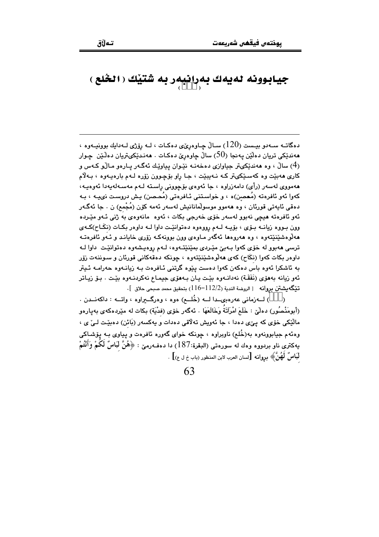## جيابوونه لهيهك بهرانيهر به شُتيْك ( الخُلع )<br>( 444 )

دهگاتــه ســهدو بيــست (120) ســالٌ چــاوهرِيِّي دهكـات ، لــه رِوِّزي لــهدايك بوونيــهوه ، ههندٽِکي تريان دهڵێن پهنجا (50) ساڵ ڇاوهريّ دهکـات . ههنـدٽِکيٽريان دهڵـێن ڇـوار (4) سالْ ، وه هەندێکىټر جياوازى دەخەنــه نێـوان يياوێـك ئەگــەر يــارەو مــالّـو كــەس و کاري ههبێت وه کهسـێکيتر کـه نـهيبێت ، جـا راو بۆچـوون زۆره لـهم بارهيـهوه ، بـهلاّم هەمووى لەسەر (رأى) دامەزراوە ، جا ئەوەي بۆچوونى راستە لـەم مەسـەلەپەدا ئەوەپـە، کهوا ئهو ئافرەته (مُعصن)ه ، و خواستنی ئـافرەتی (مُحـصن) يـش دروسـت نىيـه ، بـه دەقى ئايەتى قورئان ، وە ھەموو موسولْمانانيش لەسەر ئەمە كۆن (مُجْمع) ن . جا ئەگـەر ئەو ئافرەتە ھېچى نەبوو لەسەر خۆى خەرجى بكات ، ئەوە مانەوەي بە ژنى ئـەو مێـردە وون بـووه زيانــه بــۆی ، بۆيــه لــهم رووهوه دهتوانێـت داوا لــه داوهر بكــات (نكَـاح)كــهى مەلوەشێنێتەوە ، وە مەروەما ئەگەر مـاوەي وون بوونەكـە زۆرى خايانـد و ئـەو ئافرەتـە ترسي ههبوو له خوّي کهوا بـهييّ ميّـردي بميّنيّتـهوه، لـهم روهيشهوه دهتوانيّـت داوا لـه داوهر بکات کهوا (نکَاح) کهی ههلُوهشێنێتهوه ، چونکه دهقهکانی قورئان و سـوننـهت زۆر به ئاشکرا ئەوە باس دەکەن کەوا دەست يێوە گرتنى ئـافرەت بـه زيانـەوە حەرامـە ئـيتر ئەو زيانە بەھۆي (نَفَقَـة) نەدانـەوە بێت يـان بـەھۆي جيمـاع نەكردنـەوە بێت . بـۆ زيـاتر تَيْكَه يشتن بروانه [الروضة الندية (12/2-116) بتحقيق محمد صبحى حلاق ].

 $\lambda$ (أبومَنْصُور) دەلْيٚ : خَلَعَ امْرَآتَةُ وَخَالَعَهَا . ئەگەر خۆی (فدْيَة) بكات له مێردەكەی بەيارەو مالَيْکي خوّي که يئي دهدا ، جا ئەويش تەلاقى دەدات و پەکسەر (بَائن) دەبيّىت لـئ ي ، وهئهم جيابوونهوه به(خُلم) ناويراوه ، چونکه خواي گهوره ئافرهت و پياوي بـه يۆشـاکي بِهِكْتِرِي نَاوٍ بِرِيووِهِ وَوِكَ لَهِ سَوِرِهِتِي (البَقِرَةِ:187) دا دوفٍهِرِينِ : ﴿هُنَّ لَبَاسٌ لكمْ وَأَنْتُمْ لْبَاسٌ لَهُنَّ﴾ بروانه [لسان العرب لابن المنظور (باب خ ل ع)] .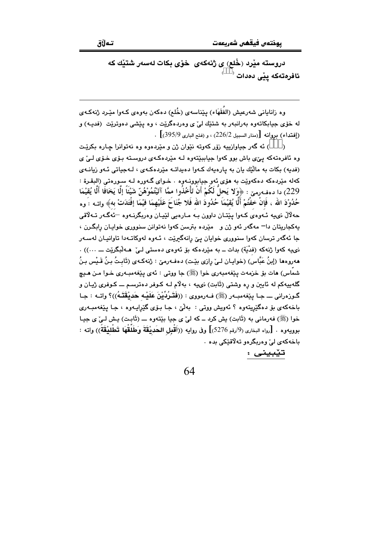تەلاق

دروسته مێرد (خُلع) ی ژنهکهی خوّی بکات لهسهر شتێك که ئافرەتەكە يێى دەدات <sup>(</sup>

وه زانایانی شەرعیش (الفَقَهَاء) پێناسەی (خُلع) دەكەن بەوەی كـەوا مێـرد ژنەكـەی له خۆی جیابکاتەوه بەرانبەر بە شتێك ليٌ ی وەردەگرێت ، وه يێشى دەوترێت (فدیـه) و . (إفتداء) بروانه [(منار السبيل 226/2) ، و (فتح البارى 395/9)] .

) ئه گهر جياوازييه زۆر كەوتە نێوان ژن و مێردەوە وە نەتوانرا چارە بكرێت  $\overline{\phantom{a}}$ وه ئافرەتەكە پى*نى ب*اش بوو كەوا جياببێتەوە لـە مێردەكـەى دروسـتە بـۆى خـۆى لـئ *ى* (فدیه) بکات به مالّیّك یان به پارهیهك كـهوا دهیداتـه میّردهكـهى ، لـهجیاتی ئـهو زیانـهى کهله مێردهکه دهکهوێت به هۆی ئهو جیابوونـهوه ٠ خـوای گـهوره لـه سـورهتی (البقـرة : 229) دا دەڧەرمىن : ﴿وَلا يَحلُّ لَكُمْ أَنْ تَأْخُذُوا مِمَّا آتَيْتُمُوْهُنَّ شَيْئًا إِلَّا يَخَافًا أَلَا يُقيْمَا حُدُورْدَ الله ، فَإِنْ خفْتُمْ أَلَّا يُقيْمَاً حُدُودَ الله فَلا جُنَاحَ عَلَيْهِمَا فَيْمَا إفْتَدَتْ به﴾ واتــه : وه حهلالٌ نىيه ئـهوهى كـهوا پێتـان داوون بـه مـارهيى لێيـان وهربگرنـهوه ¬ئَهگـهر تـهلاقى يهکجاريتان دا =مهگەر ئەو ژن و \_مێرده بترسن کەوا نەتوانن سنووری خواپان رابگرن ، جا ئەگەر ترسان كەوا سنوورى خوايان يىّ رانەگیریّت ، ئـەوە لەوكاتـەدا تاوانيـان لەسـەر نى يه كەوا ژنەكە (فدْيَة) بدات ــ بە مێردەكە بۆ ئەوەي دەستى لـىٰ مـەلْبگرێت ـــ ...)) . هەروەھا (إبنُ عَبَّاس) (خوايـان لـيٰ رازي بێت) دەڧـەرميٰ : ژنەكـەي (ئَابـتُ بـنُ قَـيْس بـنُ شمَّاس) هات بۆ خزمەت يێغەمبەرى خوا (ﷺ) جا ووتى : ئەي يێغەمبـەرى خـوا مـن هـيـچ گلهبیهکم له ئاینن و ره وشتی (ثَابت) نىيه ، بهلاّم لـه کـوفر دهترسـم ـــ کـوفرى ژیـان و گـوزەرانى ـــ جـا يێغەمبــەر (ﷺ) فــەرمووى : ((فَتَـرُدِّيْنَ عَلَيْـه حَديْقَتَـهُ))؟ واتــه : جـا باخهکهي بو دهگيريتهوه ؟ ئهويش ووتي : بهليّ ، جا بـوّي گيرايـهوه ، جـا يـيّغهمبـهري خوا (ﷺ) فهرماني به (ثَابِت) پش كرد ــ كه ليٌ ي جيا بيِّتهوه ـــ (ثَابِت) پش لـيٌ ي جيـا بوويهوه . [رواه البخارى (9/رقم 5276)] وفى روايه ((أَقْبِل الحَديْقَةَ وَطَلَقْهَا تَطْليْقَةً)) واته : باخه کهي لي وه ديگر دو ته لاقٽکي بده ٠

تێبینی :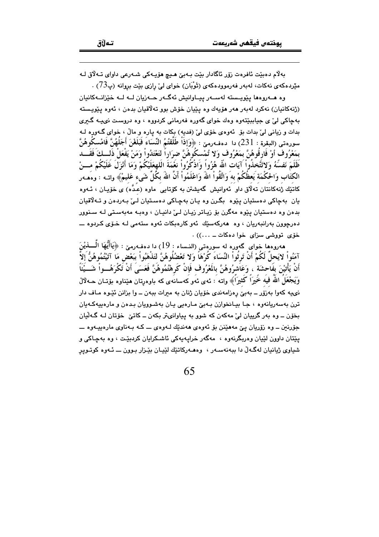بەلام دەبێت ئافرەت زۆر ئاگادار بێت بـﻪبێ ھـيچ ھۆپـﻪكى شـﻪرعى داواي تـﻪلاق لـﻪ مێردهکەي نەکات، لەبەر فەرموودەکەي (ثَوْبَان) خواي ليِّ رازى بِێت بروانە (پ $(73)$  .

وه هــهروهها پٽويــسته لهســهر پيــاوانيش ئهگــهر جــهزيان لــه لــه خٽزانــهكانيان (ژنهکانيان) نهکرد لهبهر ههر هۆپهك وه پٽيان خۆش پوو تهلاقيان بدەن ، ئەوه پٽويسته پهچاکې ليٰ ي چياپيٽتهوه وهك خواي گهوره فهرماني کردووه ، وه دروست نويبـه گـيري بدات و زیانی لیّ بدات بۆ ئەوەی خۆی لیّ (فدیه) بکات به یاره و مالّ ، خوای گـەورە لـه سورِوتي (البقرة : 231) دا. دوفورمِيّ : ﴿وَإِذَاْ طَلَّقْتُمُ النِّسَاءَ فَبَلَغْنَ أَجَلُهُنَّ فَامْسكُوهُنَّ بِمَعْرُوفِ أَوْ فَارِقُوهُنَّ بِمَعْرُوفٍ وَلا تُمْسِكُوهُنَّ ضِرَاراً لَتَعْتَدُواْ وَمَنْ يَفْعَلْ ذَلــكَ فَقَــد ظَلَمَ نَفسَهُ وَلاتَّتَّخذُواْ آيَاتِ اللّهِ هُزُواْ وَاذْكُرُواْ نَعْمَةَ الْلهِعَلَيْكُمْ وَمَا أَنْزَلَ عَلَيْكُمْ مــنْ الكتَاب وَالحكْمَة يَعظُكُمْ به وَاتَّقُواْ اللهُ وَاعْلَمُواْ أَنَّ اللهَ بكُلِّ شَىء عَليمٌ﴾ واتــه : وهمــهر کاتێُك ژُنهکانتان ته ُلَاق داو ۘ نُهوانیش گەبشتن به کۆتابی َ ماوه (عـُدَّه) ی خۆپـان ، ئـهوه يان بهچاکي دهستيان پێوه بگرن وه پان بهچاکي دهستيان لـيٰ بـهردهن و تـهلاقيان بدهن وه دهستیان یێوه مهگرن بۆ زیاتر زیان لـیٰ دانیـان ، وهبـه مهبهسـتی لـه سـنوور دهرچوون پەرانپەريان ، وه \_هەركەسٽك \_ئەو كارەپكات ئەوە ستەمى لـە خـۆي كـرېوه ـــ خۆي تووشي سزاي خوا دەكات ــ ...)) .

هەرومها خواي گەورە لە سورەتى (النساء : 19) دا دەڧەرمى : ﴿يَاأَيُّهَا الَّــــٰفيْنَ آمَنُواْ لايَحلُّ لَكُمْ أَنْ تَرِثُواْ النِّسَاءَ كُرْهَاً وَلا تَعْضُلُوهُنَّ لَتَذْهَبُواْ بَبَعْض مَا آتَيْتُمُوهُنُّ إلاَّ أَنْ يَأْتِيْنَ بِفَاحِشَةٍ ، وَعَاَشِرُوهُنَّ بِالْمَعْرُوفِ فَإِنْ كَرِهْتُمُوهُنَّ فَعَسَىَ أَنْ تَكْرَهُــواْ شَـــيّْئَا وَيَجْعَلُ اللَّهُ فَيهُ خَيرَاً كُثيرَاً﴾ واته : ئەي ئەو كەسانەي كە باوەرتان ھێناوە بۆتـان ھـﻪلالْ نھیبه کەوا بەزۆر ــ بەبیؒ رەزامەندى خۆيان ژنان بە میرات ببەن ــ وا بزانن ئێوە مـاف دار ترن بهسهریانهوه ، جا بیـانخوازن بـهبیّ مـارهیی یـان بهشـوویان بـدهن و مارهییهکـهیان بخۆن ــ وه بهر گرييان ليٌ مهکەن که شوو به پياوانىتر بکەن ــ کاتىؒ خۆتان لــه گــهڵيان جۆرنين ــ وه زۆريان يې مەھێنن بۆ ئەوەي ھەندێك لــەوەي ـــ كــە بــەناوي مارەييــەوە ــــ يێتان داوون لێيان وهريگرنهوه ، مهگهر خرايهپهکي ئاشـکرايان کردېێت ، وه بهچـاکي و شیاوی ژیانیان لهگەڵ دا ببەنەسـەر ، وەھـەركاتێك لێپـان بێـزار بـوون ـــ ئـەوە كوتـوير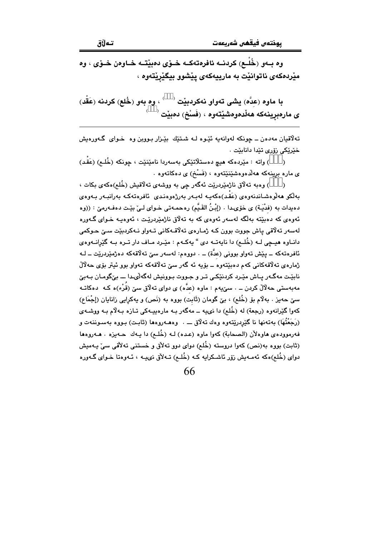وه بــهو (خُلْــع) كردنــه ئافرەتەكــه خــۆي دەبێتــه خــاوەن خــۆي ، وه مێردهکەی ناتوانێت بە مارييەکەی پێشوو بيگێرێتەوە ،

با ماوه (عدَّه) يشي تهواو نهكردبيّت ` ` ، وه بهو (خُلع) كردنه (عَقْد)  $^\circ$ ى مارەبرينەكە ھەڵدەوەشێتەوە ، (فَسْخ) دەبێت

تهلاقيان مهدهن ــ جونکه لهوانهيه ئێوه لـه شتێك بێزار بـووين وه خـواى گـهورهيش خێرێؼي زۆرى تێدا دانابێت .

) واته : مێردهکه هیچ دهستلاتێکی بهسهردا نامێنێت ، چونکه (خُلـم) (عَقْد)  $\lambda$ ی ماره برینهکه ههلْدهوهشێنێتهوه ، (فَسۡنُمۡ) ی دهکاتهوه .

) وەبە تەلاق ناژمێردرێت ئەگەر چى بە ووشەي تەلاقىش (خُلع)ەكەي بكات ،  $\lambda$ بەلكو ھەلوەشاندنەوەي (عَقَد)ەكەپبە لەبەر بەرژەوەنىدى ئافرەتەكبە بەرانبىەر بىەوەي دهیدات به (فدْیـَة) ی خو٘یـدا . (إبْـنُ القَـیَّم) رهحمـهتی خـوای لـیٚ بیٚـت دهفـهرمیٚ : ((وه ئەوەي كە دەبێتە بەلگە لەسەر ئەوەي كە بە تەلاق ناژمێردرێت ، ئەوەپـە خـواي گـەورە لهسهر تهلاقي ڀاش جووت بوون کـه ژمـارهي تهلاقـهکاني تـهواو نـهکردبێت سـێ حـوکمي دانیاوه هیچی لیه (خُلـم) دا نایهتـه دی " یهکـهم : میّـرد میاف دار تـره بـه گیّرانیهوهی ئافرەتەكە ــ پێش تەواو بوونى (عدَّة) ـــ . دووەم: لەسەر سێ تەلاقەكە دەژمێردرێت ــ لــە ژمارەي تەلاقەكانى كەم دەبێتەوە ــ بۆيە ئە گەر سىّ تەلاقەكە تەوار بور ئىيتر بۆي جەلالْ نائٽت مهگەر بياش مٽرڊ کرڊنٽکي تير و جيووت پيوونيش لهگهٽي، اب پيرگومان بيهي مەبەستى حەلالْ كردن ـــ . سێيەم : ماوە (عدٌّە) ى دواى تەلاق سێ (قُرْء)ە كـه دەكاتـه سيِّ حهيز . بهلَّام بق (خُلع) ، بيِّ گومان (ثَابت) بووه به (نَص) و يهكرايي زانايان (إجْمَاع) کهوا گێرانهوه (رجعة) له (خُلع) دا نىيه ــ مهگهر بـه مارەبيـهکى تـازه بـهلاّم بـه ووشـهى (رَجَعْتُهَا) بِهتَّەنها نا گێردرێتەوە وەك تەلاق ــــ . وەھــهروەها (ثابت) بـووە بەسـوننـەت و فهرموودهى هاوهلأن (الصحابة) كهوا ماوه (عده) لـه (خُلـم) دا يـهك حـهيزه . هـهروهها (ثابت) بووه به(نص) کهوا دروسته (خُلع) دوای دوو تهلأق و خستنی تهلأقی سیّ پـهمیش دوای (خُلع)ەکە ئەمـەيش زۆر ئاشـكرايە کـە (خُلـع) تـەلاق نىيــە ، ئـەوەتا خـواي گـەورە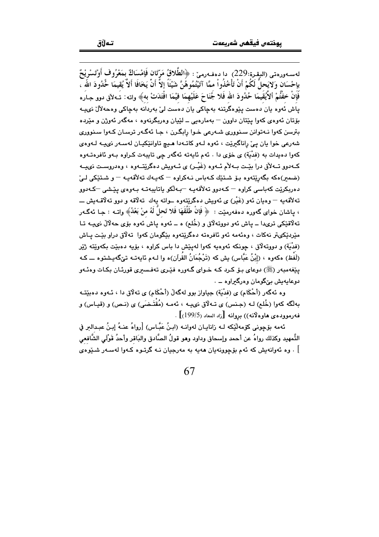لەسبەررەتى (الىقىرة:229) دا دەڧەرمىرٌ : ﴿الطَّلاقُ مَرِّتَان فَإِمْسَاكٌ بِمَعْرُوفٍ أَوْتَسْرِيْحٌ بإحْسَان وَلايَحلُّ لَكُمْ أَنْ تَأْخُذُواْ ممَّا آتَيْتُمُوهُنَّ شَيْئًا إلاَّ أَنْ يَخَافَا أَلاَّ يُقيمَا خُذُودَ اللّه ۖ فَإِنْ خفْتُمْ ألأَيْقَيمَا حُدُودَ الله فَلا جُنَاحَ عَلَيْهِمَا فيْمَا افْتَدَتْ به﴾ واته: تَـهلأق دوو جـاره یاش ئەوە بان دەست يۆرەگرېنە پەچاكى بان دەست لى بەردانە پەچاكى وەچەلال نىيب بۆتان ئەوەي كەو! يێتان داوون — پەمارەيى ــ لێپان وەريگرنەوە ، مەگەر ئەوژن و مێردە بترسن کهوا نـهتوانن سـنووري شـهرعي خـوا رابگـرن ، جـا ئهگـهر ترسـان کـهوا سـنووري شەرعى خوا بان بيِّ راناگىريّت ، ئەوە لـەو كاتـەدا ھـيچ تاوانێكيـان لەسـەر نىيــە لـەوەي کەوا دەيدات بە (فدْيَة) ي خۆي دا . ئەم ئايەتە ئەگەر چى تايبەت كىراوە بـەو ئافرەتـەوە کـهدوو تــهلأق درا بئِـت بـهلأم ئـهوه (غَيْـر) ي ئـهويش دهگرئِتـهوه ، وهدروسـت نىيــه (ضمیر)هکه بگەریتەوه بىق شىتىك كەباس نىەكراوه – كەپبەك تەلاقەپيە – و شىتىكى لى دەربكرێت كەباسى كراوە <sup>—</sup> كـەدور تەلأقەيـە <sup>—</sup>بـەڵكو ياتايبەتـە بـەوەى پێشى <sup>—</sup>كـەدور ۔<br>تەلاقەيە — وەيان ئەو (غَيْر) ي ئەويش دەگرێتەوە ــواتە يەك تەلاقە و دوو تەلاقــەيش ـــ ، ياشان خواي گەورە دەفەرمێت : ﴿ فَإِنْ طَلَّقَهَا فَلا تَحلَّ لَهُ منْ بَعْدُ﴾ واتــه : جـا ئەگــەر تهڵاقتيکي تريدا ــ ياش ئەو دووتەلاق و (خُلع) ه ــ ئەوە پاش ئەوە بۆی حەلالْ نىيــە تــا مێردێِکیټر نهکات ، وهئهمه ئهو ئافرهته دهگرێتهوه بێگومان کهوا تهلاق دراو بێت پـاش (فدْيَة) و دووته لاق ، چونکه ئهوهيه کهوا لهپێش دا باس کراوه ، بۆيه دهبێت بکهوێته ژێر (لَفْظ) مكەوه ، (إِبْنُ عَبَّاس) يش كە (تَرْجُمَانُ القُرآن)ه وا لـهم ئايەتـه تێگەيـشتوه ـــ كـه یێغەمبەر (ﷺ) دوعای بىۆ كىرد كـﻪ خـواي گـﻪورە فێـرى تەفـسىرى قورئـان بكـات وەئـﻪو دوعايەيش بېڭومان وەرگىراوە ـــ .

وه ئهگەر (أَحْكَام) ي (فدْيَة) جياواز بوو لهگەلْ (أَحْكَام) ي تەلاق دا ، ئـهوه دەبێتـه بهلَّكه كهوا (خُلع) لـه (جنس) ى تـهلَّاق نىيـه ، ئهمـه (مُقْتَـضَى) ى (نـص) و (قيـاس) و فهرموودهي هاوهالانه)) بروانه [زاد المعاد (199/5)] .

ئهمه بۆچونى كۆمەلايكە لـه زانايـان لەوانـه (ابـِنُ عَبَّـاس) [رواهُ عنـهُ إبـنُ عبـدالبر في التَّمهيد وكذلك رواهُ عن أحمد وإِسحاق وداود وهو قولُ الصَّادق والبَاقر وأحدُ قَوْلَى الشَّافعي ] . وه ئەوانەيش كە ئەم بۆچوونەيان ھەيە بە مەرجيان نــه گرتــوه كــەوا لەســەر شــێوەي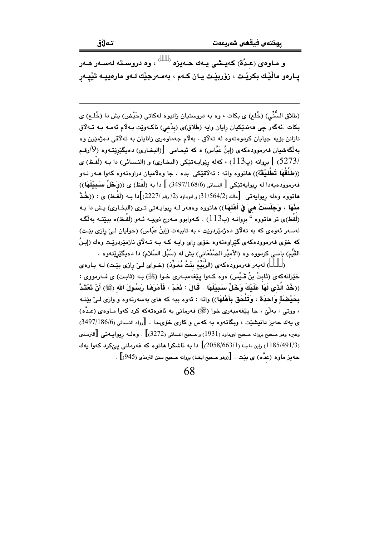و مـاوەي (عـدَّة) كەيـشى يـەك ھـەيزە <sup>( \_\_)</sup> ، وە دروسـتە لەسـەر ھـەر يـارەو ماڵێك بكرێت ، زۆربێت يـان كـهم ، بەمـەرجێك لـەو مارەييـە تێيـەر

(طلاق السُّنِّي) (خُلع) ي بكات ، وه به دروستيان زانيوه لهكاتي (حَيْض) بِش دا (خُلـع) ي بکات .ئهگەر چى ھەندێکيان رايان وايە (طَلاق)ى (بدْعى) ناكـەوێت بـەلام ئەمـە بـە تـەلاق نازانن بۆيە جيايان كردوەتەوە لە تەلاق . بەلام جەماوەرى زانايان بە تەلاقى دەژمێرن وە بهلگهشيان فهرموودهکهي (إينُ عَبَّاس) ه که ئيمـامي |(البـخـاري) دهيگێرێتـهوه (9/رقـم (5273) ] بروانه (پ113) ، كهله رێوايـهتێكي (البخـاري) و (النـسائي) دا بـه (لَفْـظ) ي ((طَلَقْهَا تَطْلِيْقَة)) هاتووه واته : تەلاقێكى بده . جا وەلاميان دراوەتەوە كەوا مـەر لـەو فەرموودەيەدا لە ريوايەتێكى [ النسائى (3497/168/6) ] دا بە (لَفْظ) ي ((وَخَلِّ سَمَمِيْلَهَا)) هاتووه وهله ريوايهتي [مالك (31/564/2) و ابوداود (2/ رقم /2227)]دا بـه (لَفْـظ) ی : ((خُمْـڈ مثْهَا ، وَجَلَسَتْ هيَ في أَهْلهَا)) هاتووه وهه ر لـه ريوايـه تي تـرى (البخـارى) يـش دا بـه (لَفْظ)ي تر هاتووه " بروانـه (پ113) . كـهوابوو مـهرج نىيـه ئـهو (لَفْـظ)ه ببيّتـه بهالگـه لەسەر ئەوەي كە بە تەلاق دەژمێردرێت ، بە تاييەت (إبنُ عبّاس) (خوايان لـىٰ رازى بێت) که خوّی فهرموودهکهی گَیْراوهتهوه خوّی رای وایـه کـه بـه تــهڵاتی ناژمیْردرییت وهك (إبـنُ القَيِّم) باسی کردووه وه (الأمیْر الصَّنْعَاني) یش له (سُبُل السّلام) دا دهیگێرِێتهوه .

) لهبهر فهرموودهکهی (الرُّبَيِّعُ بِنْتُ مُعَوِّذ) (خـوای لـی ٘رازی بیّـت) لـه بـاره $_{\circ}$ خێزانهکهی (ثَابِتُ بنُ قَـٰبِس) هوه کـهوا پێغهمبـهری خـوا (ﷺ) بـه (ثابـت) ی فـهرمووی : ((خُذ الَّذى لَهَا عَلَيْكَ وَخَلِّ سَبِيْلَهَا . قَالَ : ذَمَمْ ، فَأَمَرَهَا رَسُولَ الله (ﷺ) أَنْ تَعْتَدَّ بِحَيْضِبَةٍ وَاحدَة ، وَتَلْحَق بِأَهْلِهَا)) واته : ئەوه ببه كه هاى بەسەرتەوه و وازى لـىٰ بِيْنـه ، ووتی : بهلّیٰ ، جا پێغهمبهری خوا (ﷺ) فهرمانی به ئافرهتهکه کرد کهوا مـاوهی (عدَّه) ى يەك حەيز دانيشنيت ، ويگاتەوە بە كەس و كارى خۆى،دا . [رواه النسائى (3497/186/6) وغيره وهو صحيح بروانه صحيح ابىداود (1931) و صحيح النسائي (3272)] . وهلـه ريوابيـهتي [الترمـذي (1185/491/3) وإبن ماجة (2058/663/1)] دا به ئاشكرا هاتوره كه فهرماني بے كرد كهوا بهك حه يز ماوه (عدَّه) ي بيِّت . [(وهو صحيح ايضا) بروانه صحيح سنن الترمذي (945)] .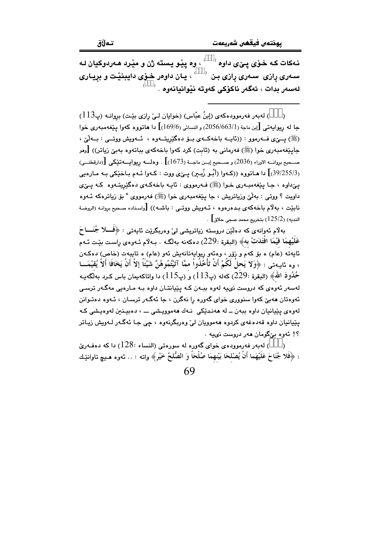نـهکات کـه خـوّي يـيّي داوه <sup>‹ '</sup> ، وه يێو يسته ژن و مێرد هـهردوکيان لـه سـهری پاری ِ سـهری پاری بـن  $\,$   $\,$  ، یـان داوهر خـوّی دایبنیْت و برِیـاری  $\,$ لەسەر بدات ، ئەگەر ناكۆكى كەوتە نٽواندانەوە . <sup>(</sup>

) لهبهر فهرموودهكهى (إبنُ عبّاس) (خوايان لـيّ رازى بيّت) بروانـه (پ113)  $\lambda$ جا له ريوايهتي [إبن ماجة (2056/663/1) و النسائي (169/6)] دا هاتووه كهوا يێغهمبهري خوا (ﷺ) پیئی فــهرموو : ((ئاپــه باخهکــهی بــوْ دهگێریتــهوه ، ئــهویش ووتـــی : بــهلّـیٰ ، جايێغەمبەرى خوا (ﷺ) فەرمانى بە (ثابت) كرد كەوا باخەكەي بېاتەوە بەيێ زياتر)) [رمو صــحيح بروانــه الاوراء (2036) و صــحيح إبــن ماجــة (1673)] . وهلـــه ريوايـــه تَيْكي [(دارقطنــي) (39/255/3)] دا هـاتووه ((کـهوا (أَبُـو زُيـير) يــِيّ) ووت : کـهوا ئـهم بـاخێکي بـه مـارهيي يے،داوه ، جـا پيُغهمبـهري خـوا (ﷺ) فـهرمووي : ئايـه باخهكـهي دهگێريتـهوه كـه يــۍي داويت ؟ ووتبي : بەلْيٌ وزياتريش ، جا يێغەمبەرى خوا (ﷺ) فەرمووى " بۆ زياترەكە ئـەوە نابيّت ، بهلّام باخهكهي بـدهرهوه ، ئـهويش ووتـي : باشـه)) [واسناده صـحيح بروانـه (الروضـة . النديه) (125/2) بتخريج محمد صجي حلاق $\hspace{.1cm}\rule{0cm}{0cm}\hspace{.1cm}$ 

بەلام ئەوانەى كە دەلێن دروستە زياتريشى لىْ وەربگرێت ئايەتى : ﴿فَـــلا جُنَـــا حَ عَلَيْهِمَا فَيْمَا افْتَدَتْ بِهِ﴾ (البقرة :229) دهكهنه بهلگـه . بـ4لام ئــهووى راسـت بێـت ئــهم ئايەتە (عام) ە بۆ كەم و زۆر ، وەئەو ريوايەتانەيش ئەو (عام) ە تايبەت (خاص) دەكـەن ، وه ئايــهتي : ﴿وَلا يَحلَ لَكُمْ أَنْ تَأْخُذُواْ ممَّا آتَيْتُمُوهُنَّ شَيْئًا إِلاَّ أَنْ يَخَافَا أَلاّ يُقيْمَـــا حُدُودَ اللهُ﴾ (البقرة :229) كهله (پ113) و (پ115) دا واتاكهيمان باس كـرد بهلّگهيـه لهسهر ئهوهي که دروست نۍيه لهوه بېـهن کـه پێيانتـان داوه بـه مـارهيي مهگـهر ترسـي ئەوەتان ھەبىّ كەوا سنوورى خواي گەورە را نەگرن ، جا ئەگـەر ترسـان ، ئـەوە دەتـوانن لهوهي پێپانيان داوه بېهن ــ له ههندێکی نـهك ههموويـشی ـــ ، دهبيـنين لهوهيـشی کـه يٽيانيان داوه قهدهغهي کردوه ههموويان ليٰ وهريگرنهوه ، جي جـا ئهگـهر لـهويش زيـاتر ؟! ئەوە بىٌگومان ھەر دروست نىپە .

) لهبهر فهرموودهى خواى گهوره له سورهتى (النساء :128) دا كه دهفهريّ  $\lambda$ : ﴿فَلا جُنَاحَ عَلَيْهَما أَنْ يُصْلحَا بَيْنِهِمَا صُلْحًا وَ الصُّلحُ خَيْرٍ﴾ واته : .. ئەوە هـيـچ تاوانێـك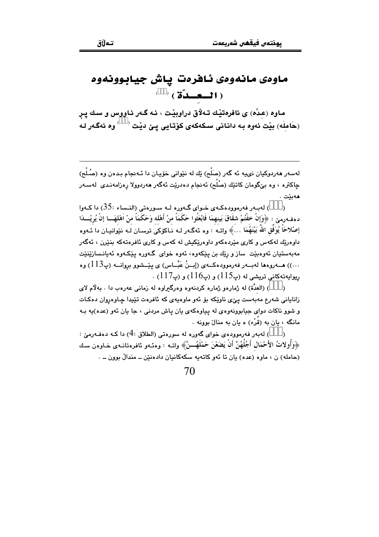## ماوەى مانەوەى ئافرەت ياش جيابوونەوە  $( )$  ( $\ddot{c}$ ) ( $\ddot{c}$ )

ماوه (عدَّه) ی ئافرهتێك تـهلاق دراوبێت ، ئـه گـهر ئـاووس و سـك پـر (حَامِلَه) بيّت ئەوە بـه دانـانى سـكەكەى كۆتـايى پـێ ديّت <sup>( )</sup> وە ئەگـەر لـە

لهسهر ههردوکيان نىيه ئه گەر (صَلْح) بِّك له نێوانى خۆيـان دا ئـهنجام بـدەن وه (صُلْح) ـ<br>چاكترە ، وە بىێگومان كاتێك (صُلْح) ئەنجام دەدرێت ئەگەر ھەردوولا رەزامەنـدى لەسـەر ھەبێت .

) لەببەر فەرموۋدەكبەي خىواي گىەۋرە لىە سىورەتى (النىساء :35) دا كىەۋا دهف.رمين : ﴿وَإِنْ خفْتُمْ شقَاقَ بَينهمَا فَابْعَثُوا حَكَمَاً منْ أَهْله وَحَكَمَاً منْ اَهْلهَـــا إنْ يُريْـــدَا إصْلاحَاً يُوَفِّقِ اللَّهُ بَيْنَهُمَا …﴾ واتبهُ : وه ئهگـهر لـه نـاكۆكى ترسـان لـه نـْيوانىيـان دا ئـهوه داوورتك له كهس و كاري مترده كهو داوورتكيش له كهس و كاري ئافروته كه بنترن ، ئه گهر مەبەستيان ئەوەبێت ساز و رێك بن يێكەوە، ئەوە خواي گەورە يێكـەوە ئەيانـسازێنێت . دولية كاني تريشي له (ب115) و (ب116) و (ب117) .

) (العدَّة) له ژمارهو ژماره كرينهوه وهرگيراوه له زماني عهرهب دا . پهلام لاي .<br>زانایانی شهرع مهبهست پیِّی ناوێکه بۆ ئەو ماوەیەی که ئافرەت تێیدا چاوەروان دەکـات و شوو ناکات دوای جیابوونهوهی له بیاوهکهی بان پاش مردنی ، جا بان ئهو (عده)به پ مانگه ، بان به (قَرْء) ه بان به منال بوونه .

) لەبەر فەرموودەي خواي گەورە لە سورەتى (الطلاق :4) دا كـه دەفـەرمىّ :  $\lambda$ ﴿وَأُولَاتُ الأَحْمَالِ أَجُلُهُنَّ أَنْ يَضَعْنَ حَمْلَهُـــنَّ﴾ واتــه : وهنـهو نافرهتانـهي خـاوهن سك (حامله) ن ، ماوه (عده) یان تا ئەو كاتەپە سكەكانیان دادەنێن ــ مندالٌ بوون ــ .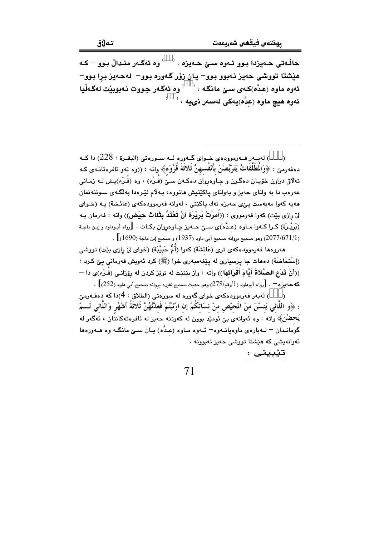) لهبـهر فـهرموودهى خـواى گـهوره لــه سـورهتى (البقـرة : 228) دا كــه  $\lambda$ دهفەرمىٚ : ﴿وَالْمُطَلَّقَاتُ يَتَرَبَّصْنَ بِأَنْفُسهنَّ ثَلاثَةَ قُرُوْء﴾ واته : ((وه ئەو ئافرەتانـەى كـه تهلاق دراون خۆیـان دهگـرن و چـاوهروان دهکـهن سـێُ (قُـرْء) ، وه (قُـرْء)یـِش لـه زمـانی عهرهب دا به واتای حهیز و بهواتای پاکێتیش **م**اتووه، بـهلام لێـرهدا بهلگـهی سـوننهتمان ههیه کهوا مهبهست ییّی حهیزه نهك یاكیّتی ، لهوانه فهرموودهکهی (عائشة) یـه (خـوای ليٌ رازي بيّت) كهوا فهرمووي : ((أَمرَتْ بَرِيْرَةَ أَنْ تَعْتَدَّ بِثْلَاث حيَض)) واته : فهرمان بـه (بَرِيْـرَة) كـرا كــهوا مــاوه (عـدَّه)ى ســيّ حــهيز جــاوهروان بكـات . [رواه أبـوداود و إبـن ماجـة . (2077/671/1)) وهو صحيح بروانه صحيح أبي داود (1937) و صحيح إبن ماجة (1690)  $\big[$  .

هەروەها فەرموودەكەي ترى (عَائشَة) كەوا (أُمُّ حَبيْبَة) (خواي ليْ رازى بێت) تووشى (إسْتحَاضَة) دەھات جا پرسپارى لە پێغەمبەرى خوا (ﷺ) كرد ئەويش فەرمانى يى كرد : ((أَنْ تَدَع الصَّلاةَ أَيَّامَ أَقْرَائهَا)) واته : واز بيّنيّت له نويّژ كردن له رۆژانـى (قُـرْء)ى دا $\rightarrow$ که حه مز ه $\cdot$  . [رواه أبوداود (1/رقم/278) وهو حديث صحيح لغيره بروانه صحيح أبي داود (252)] .

) لەبەر فەرموودەكەي خواي گەورە لە سورەتى (الطلاق : 4)دا كە دەفـەرمىّ  $\rightarrow$ : ﴿و اللَّانِي يَنسْنَ منَ المَحيْضِ منْ نسَائكُمْ إن ارْتَبْتُمْ فَعدَّتْهُنَّ ثَلاثَةُ أشْهُرٍ وَاللَّاني لَـــمْ يَحضُنَ﴾ واته : وه نُهوانه ي بيّ نُوميْد بوون له كهوتنه حهيز له نافرهتهكانتان ، ئهگهر له گومانـدان – لــهبارهي ماوهيانــهوه- ئــهوه مــاوه (عـدَّه) يــان ســـێ مانگــه وه هــهورهها .<br>ئەوانەيشى كە ھێشتا تووشى حەيز نەبو<u>ون</u>ە .

71

تێبيني :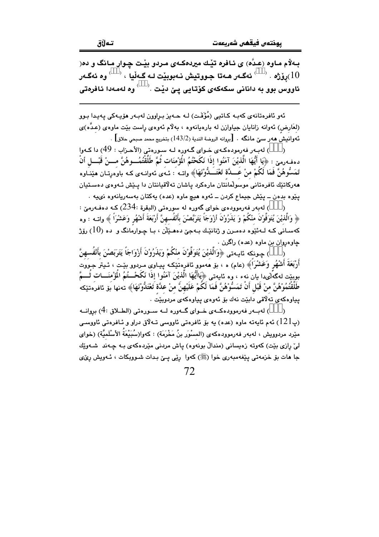بـهلام مـاوه (عـدٌه) ی ئـافره تيْـك ميردهكـهى مـردو بيْـت چـوار مـانگ و ده( رۆژە $\,$   $\,$  ئەگـەر ھـەتا جـووتيش نـەبوبێت لـە گـەڵيا $\,$   $\,$   $\,$  وە ئەگـەر $\,$   $(10$ ئاووس بوو به دانانی سکهکهی کۆتایی پـێ دێت  $\langle \rangle$ وه لهمهدا ئافرهتی

ئەو ئافرەتانەي كەبـە كـاتيى (مُؤَقَّـت) لـە حـەيز بـراوون لەبـەر ھۆيـەكى پـەيـدا بـوو (لعَارض) ئەوانە زانايان جياوازن لە بارەيانەوە ، بەلاّم ئەوەي راست بێت ماوەي (عدَّه)ى ئەوانىش ھەر سىێ مانگە . [بروانە الروضة الندية (143/2) بتخريج محمد صبحى حلاق] .

) لهبهر فهرمودهكهي خواي گهوره لـه سـورهتي (الأحـزاب : 49) دا كـهوا دهفهرمين : ﴿يَا أَيُّهَا الَّذيْنَ آمَنُوا إذَا نَكَحْتُمُ الْمَوْْمنَات ثُمَّ طَلَّقْتُمُـــوهُنَّ مــــنْ قَبْـــل أنْ تَمَسُّوهُنَّ فَمَا لَكُمْ منْ عَــدَّة تَعْتَــدُّوْنَهَا﴾ واتـه : ئـهءى ئهوانـهى كـه باوهرتـان هێنـاوه .<br>مەركاتىّك ئافرەتانى موسولمانتان مارەكرد ياشان تەلاقيانتان دا يــێش ئـەوەي دەسـتيان يٽوه بدهن ــ يٽش جيماع کردن ــ ئەوه هيچ ماوه (عده) يەکتان بەسەريانەوه نىيە .

) لەبەر فەرموودەي خواي گەورە لە سورەتى (البقرة :234) كــه دەفــەرمێ : ﴿ وَالَّذِينَ يُتَوَفَّوْنَ منْكُمْ وَ يَذَرُونَ أَزْوَجَاً يَتَرَبَّصْنَ بِأَنْفُسهنَّ أَرْبَعَةَ أشْهُر وَعَشْرَاً ﴾ واتــه : وه کهسـاني کـه لــهئێوه دهمـرن و ژنانێـك بـهجێ دههـێڵن ، بـا چـوارمانگ و ده (10) رۆژ ڇاوهروان بن ماوه (عده) راگرن .

) چـونكه ئايـەتى ﴿وَالَّذِيْنَ يُتَوَفُّونَ مِنْكُمْ وَيَذَرُونَ أَزْوَاجَاً يَتَرَبَصْنَ بِأَنْفُسهنَّ أَرْبَعَةَ أَشْهُرٍ وَعَشْرَاً﴾ (عام) ه ، بۆ مەموو ئافرەتىكە پياوى مـردوو بيْـت ، ئـيتر جـووت بوبيّت لهگه لّي دا يان نهء ، وه ئايهتى ﴿يَاأَيُّهَا الَّذيْنَ آمَنُوا إذَا نَكَحْــتُمُ الْمؤْمنَـــات ثُـــمّ طَلَّقْتُمُوْهُنَّ منْ قَبْل أَنْ تَمَسُّوْهُنَّ فَمَا لَكُمْ عَلَيْهِنَّ منْ عدَّة تَعْتَدُّوْنَهَا﴾ تەنها بَۆ ئافرەتێكە بياوهکەي تەلاقى دابێت نەك بۆ ئەوەي بياوەکەي مردوبێت .

) لەيبەر فەرموودەكبەي خېواي گەورە ليە سېورەتى (الطيلاق :4) بروانيە بان (په دې) په مخالیه ته ماوه (عده) په بۆ ئافرەتی ئاووسی تـهلاق دراو و ئـافرەتی ئاووسـی (په ا $(121\,$ مێرد مردوويش ، لەبەر فەرموودەكەي (المسْوَر بنُ مَخْرَمَة) : كەوا(سُبَيْعَةُ الأَسْلَميَّة) (خواي ليٰ رازي بێت) کەوتە زەيسانى (مندالٌ بونەوە) ياش مردنى مێردەکەي بـە چـەند شـەوێك جا مات بۆ خزمەتى يێغەمبەرى خوا (ﷺ) كەوا رێې يـێ بـدات شـووبكات ، ئـەويش رێى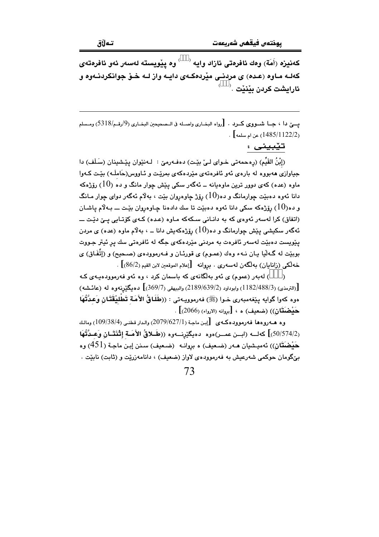كەنيزە (أَمَة) وەك ئافرەتى ئازاد وايە  $\sim$  وە يێويستە لەسەر ئەو ئافرەتەي کهك مـاوه (عـده) ی مردنـی مێردهکـهی دایـه واز لـه خـوّ جوانکردنـهوه و ئارايشت كردن يٽنٽت <sup>(</sup>

يسيّ دا ، حيــا شبــووي كبــرد . [رواه البخباري واصيله في الــصحيحين البخباري (9/رقــم/5318) ومــسلم . [/1122/2) عن ام سلمه] .

تێبینی :

(إِبْنُ القَيِّمِ) (رەحمەتى خـواي لـيْ بێـت) دەڧـەرمێ : لـەنێوان پێـشينان (سَـلَف) دا جیاوازی ههبووه له بارهی ئهو ئافرهتهی مێردهکهی بمرێت و ئـاووس(حَاملَـه) بێت کـهوا ماوه (عده) کهی دوور ترین ماوهیانه ــ ئهگهر سکی پیش چوار مانگ و ده  $(10)$  رۆژهکه دانا ئەوە دەبێت چوارمانگ و دە $(10)$  رۆژ چاوەروان بێت ، بەلاّم ئەگەر دواي چوار مـانگ و ده $(10)$ رۆژەكە سكى دانا ئەوە دەبێت تا سك دادەنا چـاوەروان بێت ـــ بـەلاّم ياشـان (اتفاق) کرا لەسەر ئەوەي کە بە دانـانى سـکەکە مـاوە (عـدە) کـەي کۆتـايى يـێ دێـت ــــ ئەگەر سكیشى پێش چوارمانگ و دە $(10)$  پۆژەكەيش دانا ـــ ، بەلاّم ماوە (عدە) ى مردن يٽِويست دهبٽت لهسهر ئافرهت به مردني مٽِردهکهي جگه له ئافرهتي سك پر ئيتر جـووت بوبێت له گـهڵيا يـان نـهء وهك (عمـوم) ي قورئـان و فــهرموودهى (صـحيح) و (إتِّفَاق) ي خەلكى (زانايان) بەلگەن لەسەرى . بروانە [إعلام الموقعين لابن القيم (86/2)].

) لهبهر (عموم) ي ئهو پهلگانهي که پاسمان کرد ، وه ئهو فهرموودهينهي ک  $\lambda$ [(الترمذي) (3/488/3) وابوداود (2189/639/2) والبيهقي (369/7)] ده بگنرينهو ه له (عائشه) هوه كهوا گوابه بينغهمبهري خبوا (ﷺ) فهرموويـهتي : ((طُلَباقُ الأُمَة تَطْلِبْقَتَانِ وَعِيدَّتُهَا  $\left(2066\right)$  (خَسِعْيفَ) هـ ،  $\left[\right.$ دوانه (الإرواء) (2066)

(50/574/2)] كهلسه (ابسن عمس)هوه. دهيگێرنسهوه ((طَبلاقُ الأَصَة إِثْنَتَيَانٍ وَعِبدَّتُهَا حَفْضَتَان)) ئەمپشيان مـەر (ضـعيف) ە پروانـه (ضـعيف) سـنن إيـن ماجـة (451) و.ه بیِّگومان حوکمی شەرعیش بە فەرموودەی لاواز (ضعیف) ، دانامەزریّت و (ثابت) نابیّت .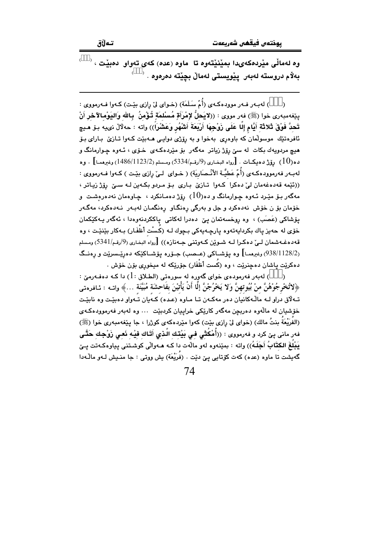تەلاق

وه لهمالّی میّردهکهیدا بمیّنیّتهوه تا ماوه (عده) کهی تهواو دهبیّت ،  $\overset{\leftarrow}{\longrightarrow}$ بەلام دروستە لەبەر يێويستى لەمالْ بچێتە دەرەوە .

) لهبـهر فـهر موودهكـهى (أُمّ سَـلَمَة) (خـواى ليّ رِازى بيّـت) كـهوا فـهرمووى : ينِغهمبهري خوا (ﷺ) فهر مووى : ((لايَحلُّ لإمْرَأَةٍ مُسْلمَةٍ تُؤْمِنُ ۖ بِاللهِ وَاليَوْمِالآخِرِ أَنْ تَحدَّ فَوْقَ ثَلاثَة أَيَّامٍ إِلَّا عَلَى زَوْجِهَا أَرْبَعَةَ أَشْهُرٍ وَعَشْرَاً)) واته : حهلالْ نىيه بـوّ مـيچ ئافرهتێك موسولمان كه باوهري بهخوا و به رۆژى دوايـي هــهبێت كـهوا تـازێ بـاراي بـۆ هيچ مردويهك بکات له سێ رۆژ زياتر مەگەر بۆ مێردەکـەی خـۆی ، ئـەوە چـوارمانگ و ده(10) رۆژ دەيكـات . [رواه البضارى (9/رقـم/5334) ومـسلم (1486/1123/2) وغيرهمـا] . وه لهبـهر فهرموودهكـهى (أُمّ عَطيَّـة الأنْـصَارِيَة) ( خـواى لـيّ رازى بيّـت ) كـهوا فـهرمووى : ((ئٽمه قەدەغەمان ليّ دەكرا كـەوا تـازىّ بـارى بـۆ مـردو بكـەين لـه سـيّ رۆژ زيـاتر ، مهگەر بىۆ مێىرد ئـەوە چـوارمانگ و دە $(10)$  رۆژ دەمـانكرد ، چـاوەمان نەدەرەشـت و خۆمان بۆ ن خۆش نەدەكرد و جل و بەرگى رەنگاو رەنگمـان لەبـەر نـەدەكرد، مەگـەر يۆشاكى (عَصَبِ) ، وه روخسەتمان يېْ دەدرا لەكاتى ياككردنەوەدا ، ئەگەر يـەكێكمان خۆی له حەيز ياك بكردايەتەوە يارچـەيەكى بـچوك لـه (كُسْت أَظْفَـار) بـەكار بێنێـت ، وە قەدەغـەشمان لــيٰ دەكـرا لــه شــوێن كــەوتنـي جــەنازە)) [رواه البخـاري (9/رقـم/5341) ومـسلم (938/1128/2) رغيرممـا] وه پۆشــاكى (عــصب) جـۆره پۆشــاكێكه دەرێـسرێت و رەنــگ دهکريّت ياشان دهچنريّت ، وه (کُست أَظْفَار) جۆريّکه له ميخوري بۆن خۆش .

) لەبەر فەرمودەي خواي گەورە لە سورەتى (الطلاق : 1) دا كـه دەفـەرمێ :  $\lambda$ ﴿لاتُخْرِجُوْهُنَّ منْ بُيُوتهنَّ وَلا يَخْرُجْنَّ إِلَّا أَنْ يَأْتِيْنَ بِفَاحِشَة مُبَيَّنَة …﴾ واتــه : ئـافرهتى تـه لاق دراو لـه ماڵـهكانيان دهر مهكـهن تـا مـاوه (عـده) كـهُبان تـُهواو دهبيّـت وه نابيّـت خۆشپان له مالّەوه دەريجن مەگەر كارێكى خرابيان كردېيّت ٠٠٠ وه لەپەر فەرموودەكـەي (الفُرَيْعَةُ بنتُ مالك) (خواي ليّ رازي بێت) كهوا مێردهكهي كوژرا ، جا پێغهمبهري خوا (ﷺ) فهر مانی پێ کرد و فهرمووی : ((أُمْكُثِي فِي بَيْنِّكِ الَّذِي أَتَاكِ فِيْهِ نَعِي زَوْجِكِ حَتَّـى يَبْلُغَ الكتَّابُ أَجَلَـهُ)) واته : بمێنهوه لهو ماڵهت دا كـه هــهواڵي كوشـتني بياوهكـهتت يـێ گەيشت تا ماوە (عدە) كەت كۆتايى يېْ دێت . (فُرَيْعَة) يش ووتى : جا منـيش لـەو ماڵـەدا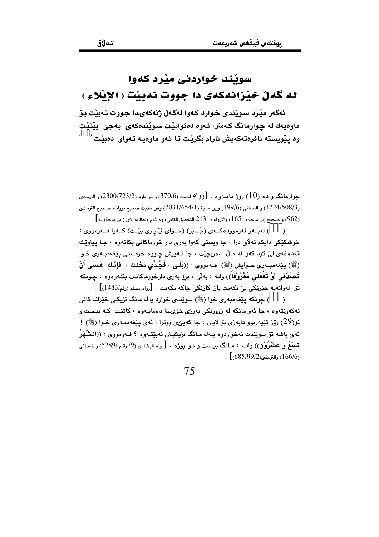## سوبند خواردني مبرد كهوا له گەن خێزانەكەي دا جووت نەبێت ( الإيْلاءِ )

ئەگەر مێرد سوێندى خوارد كەوا لەگەلٌ ژنەكەيدا جووت نەبێت بۆ ماوهيهك له چوارمانگ كـهمتر، ئـهوه دهتوانيْت سـويْندهكهي بـهجيْ بِيْنيْت وه بنویسته ئافرەتەكەبش ئارام بگرنت تا ئەو ماوەبە تەواڧ دەبنت <sup>( \_\_)</sup>

جوارمانگ و ده (10) رۆژ مامـهوه . [رواه احمد (370/6) وابـو داود (2300/723/2) و الترمـذي (1224/508/3) و النسائي (199/6) وإبن ماجة (1/654/1) (2031) وهو حديث صحيح بروانـه صـحيح الترمـذي (962) و صحيح إبن ماجة (1651) والارواء (2131 التحقيق الثاني) وه ئهم (لفظ)ه لاي (إبن ماجة) يه] .

) لەببەر فەرموودەكبەي (جَـابر) (خـواي لىْ رازى بِيْـت) كـەوا فــەرمووى :  $\lambda$ خوشکٽِکي دايکم تهلاق درا ، جا ويستي کهوا بهري دار خورماکاني بکاتهوه ، جـا پياوٽِك قهدهغهی ليّ کرد کهوا له مالّ دهربچێت ، جا ئـهويش چـووه خزمـهتی پێغهمبـهری خـوا (ﷺ) بِيَغْهْمِبِهِ رِي خَـوابِشْ (ﷺ) فـهمووى : ((لِلَـى ، فَجُدِّى نَخْلَك ، فَإِنَّك عَسَى أَنْ تَصَدَّقي أَوْ تَفْعَلي مَعْرُوْفَاً)) واته : بهلْيٌ ، بروْ بەرى دارخورماكانت بكـهرەوە ، جـونكه تق لهوانه به خَيْرِيْكي ليّ بِكهيت بان كاريْكي جاكه بكهيت . [رواه مسلم (رقم/1483)] .

) جونکه بیّغهمبەری خوا (ﷺ) سوی٘ندی خوارد بەك مانگ نزیکی خبّزانـهکانی  $\lambda$ .<br>نهکهويتهوه ، جا ئهو مانگه له ژووريکي پهرزي خوّي دا دهمايـهوه ، کاتيـُك کـه بيـست و نۆ(29) رۆژ تێپەربوو دابەزى بۆ لايان ، جا كەيىێى ووترا : ئەي يێغەمبـەرى خـوا (ﷺ) ! ئەي باشە تۆ سوێندت نەخواردوە بـەك مـانگ نزيكيـان نەبێتـەوە ؟ فـەرمووى : ((الىشَّهْرُ تسلَّعٌ وَ عشْرُوْنٌ)) واتــه : مـانگ بيـست و نــوّ رِوِّزْه . [رواه البخـارى (9/ رقم /5289) والنـسائى .  $(166/6)$ والترمذي $(166/6)$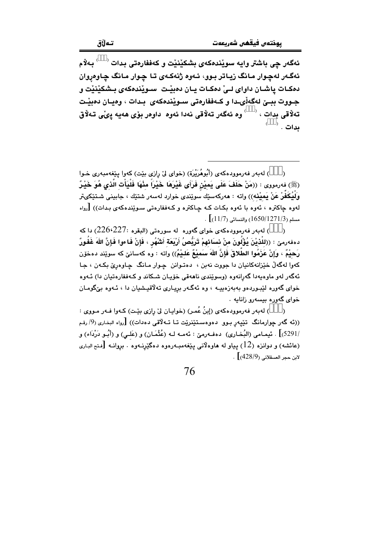ئەگەر چى باشتر وايە سويْندەكەى بشكيْنيْت و كەففارەتى بدات <sup>‹ )</sup> بەلاّم ئەگـەر لەچـوار مـانگ زيـاتر بـوو، ئـەوە ژنەكـەى تـا چـوار مـانگ چـاوەروان دمكـات ياشـان داواي لـيّ دمكـات يـان دمبيّـت ِ سـويْندمكهي بـشكيْنيْت و جـووت ببــێ لهگهڵيـدا و كـهففارهتي سـوێندهكهي بـدات ، وهيـان دهبێـت تەلاقى بدات ، <sup>‹   ›</sup> وە ئەگەر تەلاقى نەدا ئەوە داوەر بۆى ھەيە پىْى تەلاق ىدات . `

) لهبهر فهرموودهكهي (أُبُوهُرَيْرة) (خواي ليٌ رازي بيّت) كهوا ييّغهمبهري خـوا  $\lambda$ (ﷺ) فەرمورى : ((مَنْ حَلَفَ عَلَى يَميْنِ فَرَأَى غَيْرَهَا خَيْرَاً مِنْهَا فَلْيَأْتِ الَّذِى هُوَ خَيْرٌ وَلَيُكَفَّرْ عَنْ يَميْنه)) واته : مەركەسێك سوێندى خوارد لەسەر شتێك ، جابينى شـتێكىتر لهوه چاکتره ، ئەوه با ئەوه بکـات کـه چـاکتره و کـهففارهتي سـوێندهکهي بـدات)) [رواه . مسلم (1650/1271/3) والنسائي (11/7)].

) له به ر فه رمووده که ی خوای گهوره له سورهتی (البقره :226،227) دا که دەفەرمىٚ : ((لِلْدْيْنَ يُؤْلُونَ منْ نساَئِهِمْ تَرَبُّصُ أَرْبَعَةِ أَشْهُرٍ ، فَإِنْ فَاءوا فَإِنَّ اللهَ غَفُورٌ رَحيْمٌ ، وَإِنْ عَزَمُوا الطَّلاقَ فَإِنَّ اللهَ سَميْعٌ عَلـيْمٌ)) واته : وه كهسانيّ كه سويّند دهخوّن کهوا لهگهلٌ خێزانهکانیان دا جووت نهبن ، دهتـوانن چـوار مـانگ چـاوهرێ بکـهن ، جـا ئەگەر لەر مارەپەدا گەرانەرە (وسوێندى ناھەقى خۆپـان شـكاند و كـەڧڧارەتيان دا) ئـەرە خوای گەورە لێبوردەو بەبەزەييە ، وە ئەگەر بريارى تەلاقپشيان دا ، ئـەوە بىٚگومـان خوای گەورە بېسەرو زانابە .

) لەبەر فەرموودەكەي (إينُ عُمر) (خوابـان لِيْ رازي بِيّـت) كـەو! فـەر مـووي :  $\lambda$ ((ئه گەر چوارمانگ تێپەر بـوو دەوەسـتێنرێت تـا تـﻪلاقى دەدات)) [رواء البخارى (9/ رقـم /5291) . ئيمـامي (البُخـاري) دەفـەرمێ : ئەمـە لـه (عُثْمَـان) و (عَلـي) و (أَبُـو دَرْدَاء) و (عائشه) و دوانزه (12) بیاو له هاوهلانی بیّغهمب۱رهوه دهگیّرنـهوه ، بروانـه [فتح الباری  $\sim [428/9, 4289]$  .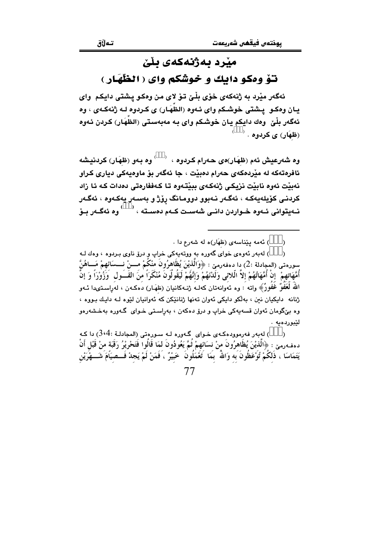#### منر د ىەژنەكەي ىلن

#### توْ وهكو دايك و خوشكم واي ( الظَّهَار )

ئهگەر مێرد به ژنهکەي خۆي بِلْـيٰ تىۆ لاي من وەکـو پـشتى دايکـم واي يـان وهكـو يـشتى خوشـكم واي ئـهوه (الظَهَـار) ي كـردوه لـه ژنهكـهي ، وه ئەگەر بِلْيْ ۖ وەك دايكم يان خوشكم واي بـه مەبەستى (الظهَار) كـردن ئـەوە (ظهَار) ی کردوه . <sup>(</sup>

وه شەرعيش ئەم (ظهَار)ەى ھەرام كردوه ،  $\qquad \qquad$ وه بـەو (ظهَار) كردنيشە ئافرەتەكە لە مێردەكەي جەرام دەبێت ، جا ئەگەر بۆ ماوەبەكى دېارى كراو نەبنت ئەوە نابنت نزیکی ژنەكەي بىنتەوە تا كەففارەتى دەدات كە ئا زاد كردنــى كۆيلەيەكــە ، ئەگــەر نــەبوو دوومـانگ رۆژ و بەســەر يەكــەوە ، ئەگــەر نــهیتوانی ئــهوه خــواردن دانــی شهســت کــهم دهســته ، <sup>( )</sup> وه ئهگــهر بــۆ

> ) ئەمە يێناسەي (ظهَار)ە لە شەرع دا .  $\mathcal{E}$

) لهبهر ئهوهي خواي گهوره به ووتهيهكي خراپ و درۆ ناوي بـردوه ، وهك لـه  $\lambda$ سورەتى (المجادلة :2) دا دەفەرمىّ : ﴿وَالَّذِيْنَ يُظَاهِرُونَ مِنْكُمْ مــــنْ نــــسَائهِمْ مَـــاهُنَّ أُمَّهَاتِهِمْ ۚ إِنْ أُمَّهَاتُهُمْ إِلاَّ الَّلائِي وَلَدْنَهُمْ وَإِنَّهُمْ لَيَقُولُونَ مُنْكَرَاً منَ القَــول ۖ وَزُوْرَاً وَ إِنَّ اللَّهَ لَعَفُوْ ۚ غَفُورٌ ﴾ واته : وه ئەوانەتان كەلبە ژنبەكانيان (ظهَـار) دەكبەن ، لەراسىتىدا ئــەو ژنانه - دايکيان نين ، پولکو دايکي ئووان تونها ژنانٽکن که ئووانيان لٽوه ليه دايك پيووه ، وه بن⁄گومان ئەوان قسەپەكى خراپ و درۆ دەكەن ، بەراستى خـواي گـەورە بەخـشەرەو لٽيورڊمبه .

) لەبەر فەرموودەكـەي خـواي گـەورە لـە سـورەتى (المجادلـة :3،4) دا كـە  $\lambda$ دهفـهرمـێ : ﴿الَّذيْنَ يُظَاهرُونَ منْ نسَائهمْ ثُمَّ يَعُودُونَ لمَا قَالُوا فَتَحْرِيْرُ رَقَبَة منْ قَبْل أنْ يَتَمَاسَا ، ذَلكُمْ تُوْعَظُونَ بَه وَاللّهُ ۚ بَمَا ۚ تَعْمَلُونَ ۚ خَبيْرٌ ۚ ، فَمَنْ لَمْ يَجِدْ فَــصيَامَ شَـــهْرَيْن 77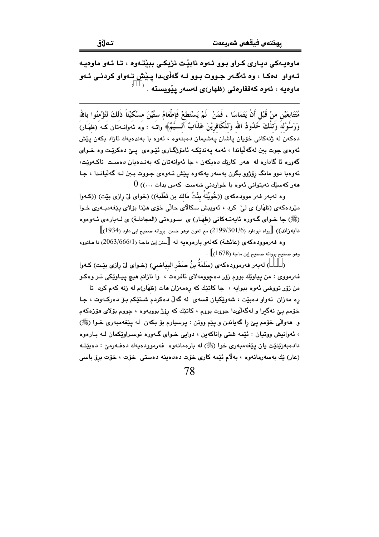ماوهيهکی ديـاری کـراو بـوو ئـهوه نابيْـت نزيکـی ببيْتـهوه ، تـا ئـهو ماوهيـه تـهواو دهکـا ، وه ئهگـهر جـووت بـوو لـه گهڵىـدا پـێش تـهواو کردنـى ئـهو 

مُتَتَابِعَيْنِ مِنْ قَبْلِ أَنْ يَتَمَاسَا ، فَمَنْ ۖ لَمْ يَسْتَطِعْ فَإطْعَامُ ستِّيْنَ مسْكيْنَاً ذَلكَ لتُؤْمنُوا بالله وَرَسُوْلهَ وَتلْكَ حُدُودُ الله وَللْكَافريْنَ عَذَابٌ ۚ أَلـــيُّمُّ﴾ واتَــه : وَه مَّهوانــه َتان كــه َ (ظهَـار) دەكەن لە ژنەكانى خۆيان پاشان پەشيمان دەبنەوە ، ئەوە با بەندەيەك ئازاد بكەن پێش ئەوەي جوت بىن لەگەلياندا ، ئەمە يەندێكە ئامۆژگـارى ئێوەي يـێ دەكرێت وە خـواي گەورە ئا گادارە لە ھەر كارێك دەپكەن ، جا ئەوانەتان كە بەندەيان دەست ناكـەوێت، ئەوەبا دوو مانگ رۆژوو بگرن بەسەر يەكەوە يێش ئـەوەي جـووت بـىن لـە گەڵپانـدا ، جـا 0 (مەركەسىيّك نەيتوانى ئەوە با خواردنى شەست كەس بدات $\ldots$  )

وه لهبهر فهر موودهكهى ((خُوَيْلَةُ بِنْتُ مَالك بن ثَعْلَبَة)) (خواى ليّ رازى بيّت) ((كـهوا مێردهکهی (ظهَار) ی لیؒ کرد ، ئەويبش سکالای حالی خوّی هیٚنا بو٘لای پیٚفهمبـهری خـوا (ﷺ) جا خـواي گـەورە ئايەتـەكانى (ظهَـار) ي سـورەتى (المجادلـة) ي لـەبارەي ئـەوەوە  $\bigl[ (1934)$  دابهزاند))  $\bigl[$ رواه ابوداود (3 $1/6/2199/301/6$ ) مم العون ،وهو حسن بروانه صحيح ابي داود (1934)

وه فهرموودهکهی (عائشة) کهلهو بارهوهیه له [سنن ابن ماجة (2063/666/1) دا ماتووه  $\left[ (1678)$  وهو صحيح بروانه صحيح إبن ماجة (1678).

) له به ر فه رمووده كه ي (سَلَمَة بنُ صَخْر البيَاضي) (خـواي ليّ رازي بيّـت) كـهوا  $\rightarrow$ فهرمووي : من پياوێك بووم زۆر دەچوومەلاي ئافرەت ، وا نازانم ھېچ پيـاوێكى تـر وەكـو من زۆر تووشی ئەوه ببوايه ، جا كاتێك كە رەمەزان ھات (ظهَار)م لە ژنە كەم كرد تا ره مەزان تەوار دەبيّت ، شەوپكيان قسەي لە گەلّ دەكردم شتيّكم بىر دەركـەوت ، جا خۆمم يېّ نهگيرا و لهگهڵىدا جووت بووم ، كاتێك كه رۆژ بوويەوه ، چووم بۆلاى مۆزەكەم و ههوالّي خوّمم يـيّ را گهياندن و پيّم ووتن : پرسيارم بوّ بكهن له پيّغهمبهري خـوا (ﷺ) ، ئەوانيش ووتيان : ئێمە شتى واناكەين ، دوايى خـواي گـەورە نوسـراوێكمان لـه بـارەوە دادهبهزيننيت بان بينغهمبهري خوا (ﷺ) له بارهمانهوه -فهرموودهبهك دهفـهرميّ : دهييّتـه (عار) يْك بەسەرمانەوە ، بەلام ئێمە كارى خۆت دەدەبنە دەستى خۆت ، خۆت برۆ باسى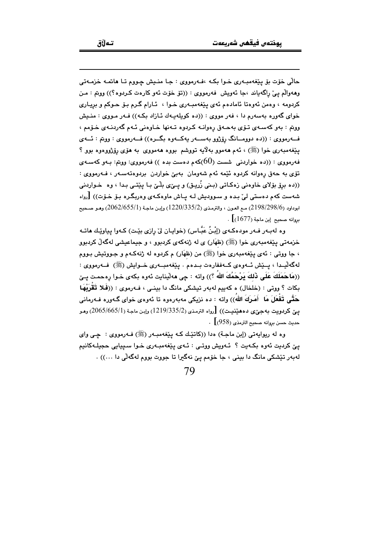حالّی خوّت بوّ یێغهمبهری خوا بکه ،فهرمووی : جا منیش چووم تا هاتمه خزمهتی وههوالَّم يـيٌ راگه ياند ،جا ئـهويش فـهرمووي : ((تق خوّت ئـهو كارهت كـردوه؟)) ووتم : مـن كردومه ، وهمن ئەوەتا ئامادەم ئەي يێغەمبەرى خـوا ، ئـارام گـرم بـۆ حـوكم و بريـارى خوای گەورە بەسەرم دا ، فەر مووی : ((دە كويلەيـەك ئـازاد بكـه)) فـەر مـووی : منـيش ووتم : بهو كهسهى تـوّى بهحـهق رهوانـه كـردوه تـهنها خـاوهنى ئـهم گهردنـهى خـوّمم ، فــهرمووي : ((ده دوومــانگ رۆژوو بهســهر يهكــهوه بگــره)) فــهرمووي : ووتم : ئــهي پێغەمبەرى خوا (ﷺ) ، ئەم ھەموو بەلاّيە تووشم بووە ھەمووى بە ھۆى رۆژووەوە بوو ؟ فهرمووی : ((ده خواردنی شست ( $60$ )کهم دهست بده )) فهرمووی: ووتم: بـهو کهسـهی تۆي به حەق رەوانە كردوە ئێمە ئەم شەومان بەبىٌ خواردن بردوەتەسـەر ، فـەرمووى : ((ده برۆ بۆلای خاوهنی زهکاتی (بـنی زُریـق) و یــیی بلّـی بـا یـیّـتـی بـدا ، وه خـواردنی شهست کهم دهستی لیؒ بـده و سـوودیش لـه پـاش ماوهکـهی وهربگـره بـو٘ خـو٘ت)) [رواه ابوداود (2198/298/6) مـم العـون ، والترمـذي (2/335/2) (1220/335/1) وإبـن ماجـة (2062/655/1) وهـو صـحيح  $\cdot$  [1677] مروانه صحيح إين ماجة

وه لهبـهر فـهر مودهكـهي (إِبْنُ عَبَّـاس) (خوايـان ليّ رازي بيّـت) كـهوا يـياويّـك هاتـه خزمهتي پێغهمبهري خوا (ﷺ) (ظهَار) ي له ژنهکهي کردبوو ، و جيماعيشي لهگهڵ کردبوو ، جا ووتي : ئەي پێغەمبەرى خوا (ﷺ) من (ظهَار) م كردوه له ژنهكـهم و جـووتيش بـووم لەگەليىدا ، يىيش ئىەوەي كىەففارەت بىدەم . يێغەمبىەرى خىوايش (ﷺ) فىەرمووى : ((مَاحَمَلَكَ عَلَى ذَلِكَ يَرْحَمُكَ اللهُ ؟)) واته : جي ههلّينايت ئهوه بكهى خـوا رهحمـت يـێ بکات ؟ ووتی : (خلخال) ه کهبیم لهبهر تیشکی مانگ دا بینـی ، فـهرموی : ((فَـلا تَقْرَبْهَـا حَتَّى تَفْعَلَ مَا أَمَرِكَ اللهُ)) وإنه : ده نزیکی مهیهرهوه تا ئهوهی خوای گـهوره فـهرمانی يـِيّ كردويت بهجيِّي دههێنيـِت)) [رواه الترمذي (2/335/2) (1219) وإبـن ماجـة (2065/665/1) وهـو. حديث حسن بروانه صحيح الترمذي (958) ] .

وه له ريوايهتي (إبن ماجـة) ددا ((كاتێـك كـه يێغهمبـهر (ﷺ) فـهرمووي : چـي واي يێ کرديت ئەوە بکەيت ؟ ئـەويش ووتـى : ئـەی يێغەمبـەرى خـوا سـييايى حجيلـەکانيم لهبهر تێشکی مانگ دا بینی ، جا خۆمم یێ نهگیرا تا جووت بووم لهگهڵی دا ...)) .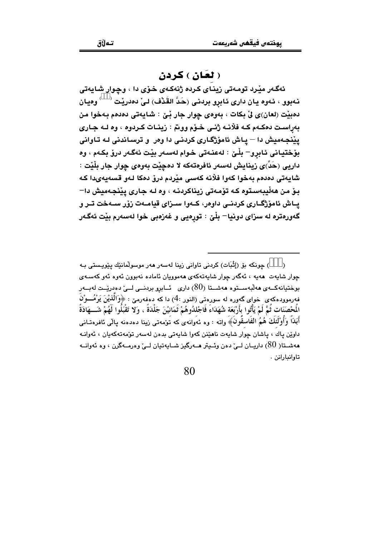#### ( لعَان ) کردن

ئەگەر مێرد تومەتى زيناي كردە ژنەكەي خۆي دا ، وچوار شايەتى نـهبوو ، ئـهوه يـان دارى ئـابرو بردنـى (حَدَّ القَدْف) لـىٰ دەدريْت  $\langle\quad\rangle$ وەيـان دهبيْت (لعان)ي ليِّ بكات ، بهوهي چوار جار بِّيِّ : شايهتي دهدهم بهخوا من بەراست دەكـەم كـە فلانـە ژنـى خـۆم ووتم : زينـات كـردوه ، وه لـه جـارى یپْنجهمیش دا – یاش ئامۆژگاری کردنی دا وەر و ترساندنی لـه تاوانی بۆختيانى ئابرو– بِلْـێ : لەعنـەتى خـوام لەسـەر بێت ئەگـەر درۆ بكـەم ، وە داريي (حَدٍّ)ي رْيِنايش لەسەر ئافرەتەكە لا دەچێت بەوەي چوار جار بِلَيْت : شايەتى دەدەم بەخوا كەوا فلانە كەسى مێردم درٯْ دەكا لەو قسەيەيدا كە بـوّ مـن هەڵيبەسـتوه كـه تۆمـەتى زيناكردنـه ، وه لـه جـارى يێنجـهميش دا– یـاش ئامۆژگـاری کردنـی داوەر، کـهوا سـزای قیامـهت زۆر سـهخت تـر و گەورەترە لە سزاى دونيا– بِلْيْ : تورەيى و غەزەبى خوا لەسەرم بِيْت ئەگەر

<sup>)</sup> چونكە بۆ (إِثْبَات) كردنى تاوانى زينا لەسەر ھەر موسولْمانێك يێويستى بـﻪ  $\lambda$ جوار شابهت ِ هەبە ، ئەگەر جوار شابەتەكەي ھەموويان ئامادە نەپوون ئەوە ئەو كەسبە*ي* بوختیانهکــهی هەڵبەســتوه هەشــتا (80) داری - ئــابرو بردنــی لــیّ دەدریّــت لەبــەر فهرموودهکهی خوای گهوره له سورهتی (النور :4) دا که دهفهرمیّ : ﴿وَالَّذِيْنَ يَرْمُـــوْنَ الْمَحْصَنَات ثُمَّ لَمْ يَأْتُوا بِأَرْبَعَة شُهَدَاءَ فَاجْلِدُوهُمْ ثَمَانِيْنَ جَلْدَةً ، وَلا تَقْبَلُوا لَهُمْ شَـــهَادَةً أَبَدَاً وَأُوْلَئِكَ هُمُ الفَاسقُونَ﴾ واته : وه ئەوانەى كە تَوັمەتى زينا دەدەنە پالى ئافرەتـانى داوێن پاك ، پاشان چوار شايەت ناھێنن كەوا شايەتى بدەن لەسەر تۆمەتەكەپان ، ئەوانـە هەشىتا( 80) داريىان لــ ، دەن وئىيتر ھــەرگيز شـايەتيان لــىٰ وەرمــەگرن ، وە ئەوانــە تاوانيارانن .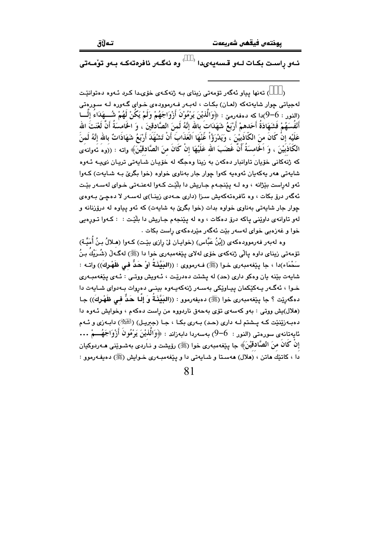تەلاق

<sup>6</sup> وه ئەگـەر ئافرەتەكـە بـەو تۆمـەتى ئـهو راسـت بكـات لـهو قـسهيهىدا <sup>(</sup>

) تەنھا بياو ئەگەر تۆمەتى زيناي بە ژنەكەي خۆيىدا كرد ئـەوە دەتوانێت لهجياتي چوار شايەتەكە (لعان) بكات ، لەبـەر فـەرموودەي خـواي گـەورە لـە سـورەتى (النور : 6–9)دا كه دهفهرميّ : ﴿وَالَّذِيْنَ يَرْمُوْنَ أَزْوَاجَهُمْ وَلَمْ يَكُنْ لَهُمْ شُـــهَدَاءُ إِلْـــا أَنْفُسَهُمْ فَشَهَادَةُ أَحَدهمْ أَرْبَعُ شَهَدَاتَ بالله إِنَّهُ لَمنَ الصَّادُقينَ ، وَ الخَامسَةُ أَنَّ لَعْنَتَ الله عَلَيْه إِنْ كَانَ منَ الكَّاذَبِيْنَ ، ۖ وَيَدْرَوُۢاْ عََنْهَا الْعَذَابَ أَنْ تَشْهَدَ أَرْبَعُ شَهَادَاتٌ بالله إنَّهُ لَمنَ الكَاذِبَيْنَ ، وَ اَلْحَامسَةَ أَنَّ غَضَبَ الله عَلَيْهَا إِنْ كَانَ منَ الصَّادِقيْنَ﴾ واته : ((وه نُهوانهُى که ژنهکانی خۆیان تاوانبار دهکهن به زینا وهجگه له خۆپـان شـایهتی تریـان نوییـه ئـهوه شايەتى ھەر يەكەيان ئەوەيە كەوا چوار جار بەناوى خواوە (خوا بگرى بىه شايەت) كـەوا ئهو لهراست بێژانه ، وه لـه پێنجـهم جـاريش دا بلێت کـهوا لهعنـهتي خـواي لهسـهر بێت ئەگەر درۆ بكات ، وە ئافرەتەكەيش سىزا (دارى حـەدى زينـا)ى لەسـەر لا دەچـێ بـەوەي چوار جار شايهتي بهناوي خواوه بدات (خوا بگريّ به شايهت) كه ئهو پياوه له درۆزنانه و لهو تاوانهی داوێنی پاکه درۆ دهکات ، وه له پێنجهم جاریش دا بلێت : : کـهوا تـورِهیی خوا و غەزەبى خواى لەسەر بێت ئەگەر مێردەكەى راست بكات .

وه لهبهر فهرموودهكهي (إبْنُ عَبَّاس) (خوايـان ليّ رِازي بيّـت) كـهوا (هـلالُ بـنُ أُمَيَّـة) تۆمەتى زيناي داوە يالْي ژنەكەي خۆي لەلاي يێغەمبەرى خوا دا (ﷺ) لەگـەلْ (شُـرَيْكُ بـنُ سَحْمَاء)دا ، جا بِيْغەمبەرى خـوا (ﷺ) فـەرمووى : ((البَيِّذَةُ أَوْ حَدٌّ فـى ظَهْرِكَ)) واتـه : شابهت بيّنه بان وهكو داري (حد) له پشتت دهدريّنت ، ئـهويش ووتـي : ئـهي پيّغهمبـهري خـوا ، ئەگـەر يـەكێكمان ييـاوێكى بەسـەر ژنەكەيـەوە بينـى دەروات بـەدواي شـايەت دا دهگەرێِت ؟ جا پێغەمبەرى خوا (ﷺ) دەيفەرمور : ((البَيَّنَةُ وَ إِلَّـا حَدٌّ فـى ظَهْرِكَ)) جـا (هلال)یش ووتی : بهو کهسهی تۆی بهحهق ناردووه من رِاست دهکهم ، وخوایش ئـهوه دا دهبـهزێنێت کـه پــشتم لـه داري (حـد) بـهري بکـا ، جـا (جبريـل) (الطَّيِّلاّ) دابـهزي و ئـهم ئايەتانەي سورەتى (النور :  $-6$ ) بەسەردا دابەزاند : ﴿وَاَلَّذِيْنَ يَرْمُونَ أَزْوَاجَهُـــمْ ... إِنْ كَانَ مِنَ الصَّادِقِيْنَ﴾ جا بيِّغهمبهري خوا (ﷺ) رؤيشت و نباردي بهشبويْني هـه ربوكيان .<br>دا ، کاتێك هاتن ، (ملال) هەسـتا و شـايەتى دا و يـێغەمبـەرى خـوايش (ﷺ) دەيفـەرموو :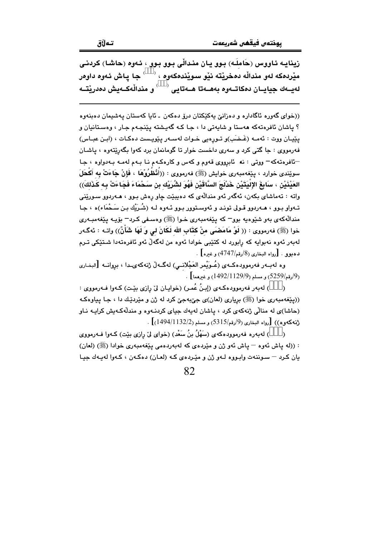تەلاق

((خوای گەورە ئاگادارە و دەزانىؒ پەكێكتان درۆ دەكەن ـ ئاپا كەستان پەشىمان دەبنەوە ؟ پاشان ئافرەتەكە ھەستا و شاپەتى دا ، جا كە گەپشتە پێنجەم جار ، وەستانيان و يێڀان ووت : ئەمـه (غَـضَب)و تـورەيى خـوات لەسـەر يێويـست دەكـات ، (ابـن عبـاس) فهرمووي : جا گتي کرد و سهري داخست خوار تا گومانمان برد کهوا بگهرێتهوه ، پاشان −ئافرەتەكە− ووتى : نە ئابرووى قەوم و كەس و كارەكـەم نـا بـەم لەمـە بـەدواوە ، جـا سوێِندي خوارد ، بێغهمبەری خوابِش (ﷺ) فەرمووی : ((أَنْظُرُوْهَا ، فَإِنْ جَاءَتْ بِه أَكْحَلَ العَيْذَيْنِ ، سَابِغَ الإِلْيَتَيْنِ خَدْلَجَ السَّاقَيْنِ فَهُوَ لشُّرَيْك بنِ سَحْمَاءَ فَجَاءَتْ بِه كَذَلكَ)) واته : تەماشاي بكەن، ئەگەر ئەو مندالّەي كە دەيبێت چاو ڕەش بـوو ، ھـەردوو سـورێنى تـهواو بـوو ، هـهردوو قـولى تونـد و ئهوسـتوور بـوو ئـهوه لـه (شُـرَيْك بـن سَـحْمَاء)ه ، جـا مندالُهکەي بەو شێوەيە بوو− کە يێغەمبەرى خىوا (ﷺ) وەسىفى کىرد− بۆيـە يێغەمبـەرى خوا (ﷺ) فەرمووى : (( لَوْ مَامَصْمَى منْ كتَاب الله لَكَانَ لي وَ لَهَا شَأْنٌ)) واتـه : ئەگـەر لەبەر ئەوە نەبوايە كە رابورد لە كتێبى خوادا ئەوە من لەگەڵ ئەو ئافرەتەدا شىتێكى تىرم **ده**بوو . [رواه البخاري (8/رقم/4747) و غیره] .

وه لهبــهر فهرموودهكــهى (عُــوَيْمر العَجْلانــى) لهگــهڵ ژنهكهىـدا ، بروانــه [البخـارى . (ارقم/5259) و مسلم (1129/9/1129) و غيرهما  $(1492/1129/9)$ 

) لەبەر فەرموودەكـەي (إِبنُ عُمـر) (خوايـان ليْ رازى بِيْـت) كـەوا فـەرمووى : ((پێغهمبهري خوا (ﷺ) برياري (لعان)ي جيِّبهجيّ کرد له ژن و مێردێك دا ، جـا پياوهکه (حاشا)ی له منالی ژنهکهی کرد ، باشان لهبهك حیای کردنـهوه و مندلّهکـهبش کرایـه نـاو  $\left[ (1494/1132/2) \right]$ . رواه البخاري (9/رقم/5315) و مسلم (1 $(1494/1132)$  .

) لهٻهره فهرموودهکهي (سَهْلُ بنُ سَعْد) (خواي ليّ رازي بيّت) کـهوا فـهرمووي  $\lambda$ : ((له ياش ئەوە — ياش ئەو ژن و مێردەي كە لەبەردەمى يێغەمبەرى خوادا (ﷺ) (لعان) يان كرد – سوننهت وابووه لـهو ژن و مێردهى كـه (لعـان) دهكـهن ، كـهوا لهيـهك جيـا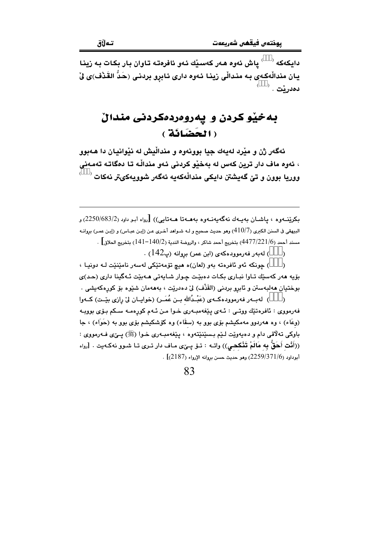دايكەكە $\sim$  ) ياش ئەوە ھەر كەسىلك ئەو ئافرەتە تاوان بار بكات بە زىنا یان مندالْهکهی به مندالْی زینا ئـهوه داری ئـابرو بردنـی (حَدَّ القَـٰذْف)ی لِّیْ  $^\circ$ . دەدرٽت

## به خپّو کردن و یهروهردهکردنی مندالٌ ( الحَضَانَة )

ئهگەر ژن و مێرد لەبەك چيا پوونەوە و مندالْيش له نێوانيان دا ھەبوو ، ئەوە ماف دار ترين كەس لە بەخێو كردنى ئەو مندالْـه تـا دەگاتـە تەمـەنى .<br>ووريا بوون و تێ گەيشتن دايكي مندالْهكەيە ئەگەر شووپەكىتر نەكات <sup>( \_\_</sup> )

بکرینـهوه ، پاشـان بهيـهك نهگهيهنـهوه بههـهتا هـهتايى)) [رواه أبـو داود (2250/683/2) و البيهقي في السنن الكبرى (4 $10$ 7) وهو حديث صحيح و لــه شـواهد أخـري عـن (إبـن عبـاس) و (إبـن عمـر) بروانـه مسند أحمد (4477/221/6) بتخريج أحمد شاكر ، والروضة الندية (140/2–141) بتخريج الحلاق] .

> ) لەبەر فەرموودەكەي (ابن عمر) بروانە (پ $(142)$  .  $\lambda$

) چونکه ئەو ئافرەتە بەو (لعان)ە ھیچ تۆمەتێکى لەسەر نامێنێت لـه دونیـا ،  $\lambda$ بۆيە ھەر كەستك تـاوا نيـارى بكـات دەبيّـت جـوار شـابەتى ھـەبيّت ئـەگينا دارى (حـد)ى بوختيان مەلبەستن و ئابرو بردنى (القَذْف) لىٰ دەدريْت ، بەمەمان شێوە بۆ كورەكەيشى .

) ِ له بِ و فه رمووده کبه ی (عَبْـدُالله بـن عُمَـر) (خوایـان ليّ رازی بِيّـت) کــهوا  $\lambda$ فهرمووي : ئافرەتێك ووتىي : ئـهي پێغهمبـهري خـوا مـن ئـهم كورەمـه سـكم بـۆي بوويـه (وعَاء) ، وه هەردوو مەمكيشم بۆي بوو بە (سقّاء) وه كۆشكيشم بۆي بوو بە (حَوَاء) ، جا باوکي تهلاقي دام و دهيهوٽت لـٽِم بـسێنٽِتهوه ، پێغهمبـهري خـوا (ﷺ) پــێي فـهرمووي : ((أَنْتِ أَحَقُّ بِه مَالَمْ تَنْكحي)) واتـه : تـو٘ يـێي مـاف دار تـري تـا شـوو نهكـهيت . [رواه .<br>أبوداود (2259/371/6) وهو حديث حسن بروانه الإرواء (2187)] .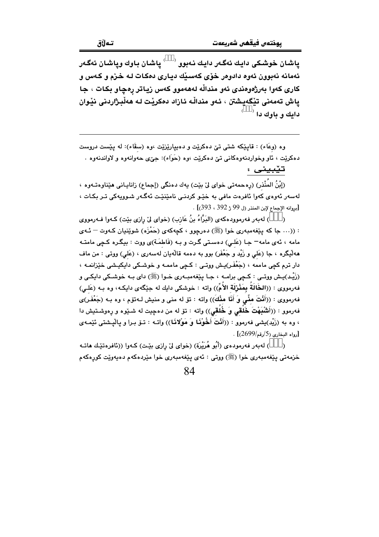ياشان خوشكي دايك ئەگەر دايك نەبوو  $\mathfrak{t} \stackrel{\text{(a)}}{=}\mathfrak{t}$ ياشان وياشان ئەگەر ئهمانه نهبوون ئەوە دادوەر خۆى كەسىيك ديـارى دەكـات لـه خىزم و كـەس و کاری کەوا بەرژەوەندى ئەو مندالّە لەھەموو کەس زياتر رەچاو بکات ، جا ياش تەمەنى تێگەپشتن ، ئەو مندالْه ئازاد دەكريت لـه ھەلْبـژاردنى نێوان دايك و باوك دا <sup>(</sup>

وه (وعَاء) : قايێِکه شتی تێ دهکرێت و دهیپارێزێت ،وه (سقَاء): له يێست دروست دهکريّت ، ئاو وخواردنهوهکاني تيّ دهکريّت ،وه (حَوَاء): جيّ ي حهوانهوه و لاواندنهوه .

تيبينى :

(إبْنُ المُنْذر) (رِهحمهتي خواي ليٌ بيّت) يهك دهنگي (إجماع) زانايـاني هيّناوهتـهوه ، لەسەر ئەوەي كەوا ئافرەت مافى بە خێو كردنىي نامێنێت ئەگـەر شـوويەكى تـر بكـات ، [بروانه الإجماع لإبن المنذر (ل 99 ژ 392 ، 393)] .

) له به ر فه رمووده كه ي (البَرَّاءُ بنُ عَازب) (خواي ليّ رازي بيّت) كـهوا فـه رمووي  $\lambda$ : ((... جا که پێفهمبهري خوا (ﷺ) دهرچوو ، کچهکهي (حَمْزَه) شوێنيان کـهوت – ئـهي مامه ، ئەي مامە¬ جـا (عَلـى) دەسـتى گـرت و بـه (فَاطمَـة)ى ووت : بيگـرە كـچى مامتـه هه ليگره ، جا (عَلى و زَيْد و جَعْفَر) بوو به دهمه قالْهيان لهسهري ، (عَلى) ووتى : من ماف دار ترم کچی ماممه ، (جَعْفَر)پش ووتـی : کـچی ماممـه و خوشـکی دایکیـشی خێزانمـه ، (زَيْد)بِـش ووتـي : كـچي برامـه ، جـا پێغهمبـهري خـوا (ﷺ) داي بـه خوشـكي دايكـي و فهرمووى : ((الخَالَةُ بِمَثْرْلَة الأُمِّ)) واته : خوشكي دايك له جێگهى دايكه، وه بـه (عَلـى) فهرمووى : ((أَنْتَ مفِّى وَ أَنَا مثْكَ)) واته : تۆ له منى و منيش لـهتۆم ، وه بـه (جَعْفَر)ى فهرموو : ((أَنْثَنَبِهْتَ خَلْقى وَ خُلُقى)) واته : تۆ له من دەجيت له شـێوه و رەوشـتيش دا ، وه به (زَيْد)يشي فهرموو : ((أَنْتَ أَخُوْنَنَا وَ مَوْلاَنَنَا)) واتــه : تــوّ بـرا و يـاليـشتي ئێمـهي . [دواه البخاري (5/رقم/2699)] .

) لەبەر فەرمودەي (أَبُو هُرَيْرَة) (خواي لِيْ رازِي بِيْتِ) كـەوا ((ئافرەتێك ھاتـﻪ خزمەتى پێغەمبەرى خوا (ﷺ) ووتى : ئەي پێغەمبەرى خوا مێردەكەم دەپەوێت كورەكەم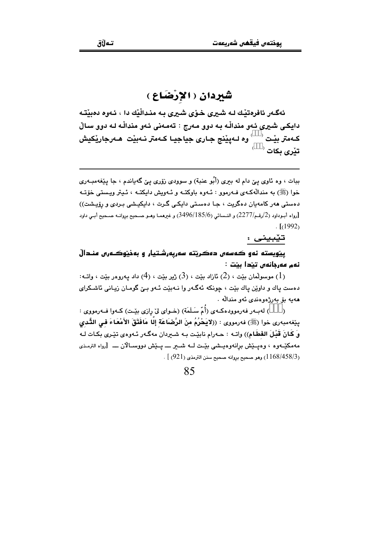### شَيْرِدان (الإرْضَاع)

ئەگـەر ئافرەتيـْك لـه شـيرى خـۆي شـيرى بـه منـدالْيْك دا ، ئـەوه دەبيْتـه دایکی شپری ئهو مندالّه به دوو مهرج : تهمهنی ئهو مندالّه له دوو سالٌ کـهمتر بيْـت <sup>( د</sup> وه لـهيێنج جـارى جياجيـا کـهمتر نـهبيْت هـهرجاريٚکيش  $^\circ$  تٽري پکات

ببات ، وه ئاوي ييّ دام له ببري (أُبُو عنبة) و سوودي زوّري ييّ گهياندم ، جا پيّغهمبـهري خوا (ﷺ) به مندالُهکـهي فـهرموو : ئـهوه باوکتـه و ئـهويش دايکتـه ، ئـيتر ويـستي خۆتـه دهستی ههر کامهیان دهگریت ، جـا دهسـتی دایکـی گـرت ، دایکیـشی بـردی و رۆیـشت)) [رواه أبـوداود (2/رقـم/2277) و النـسائي (3496/185/6) و غيرهمـا وهـو صـحيح بروانـه صـحيح أبـي داود  $\lceil (1992) \rceil$ 

تێبینی :

يێويسته نهو ڪهسهں دهڪريٽه سهريهرشتيار و بهذيٽوڪـهرس منـدالّ ئەم مەرجانەن تېدا بېت :

، موسولْمان بيّت ، (2) ئازاد بيّت ، (3) ژير بيّت ، (4) داد پهروور بيّت ، وإتــه)  $(1)$ دهست ياك و داوێن ياك بێت ، چونكه ئهگـهر وا نـهبێت ئـهو بـێ گومـان زيـاني ئاشـكراي هەبە بۆ يەرژەوەندى ئەو مندالە .

) لهبـهر فهرموودهكـهي (أُمّ سَـلَمَة) (خـواي ليّ رازي بيّـت) كـهوا فـهرمووي :  $\lambda$ ييّفهمبهري خوا (ﷺ) فهرمووي : ((لايَحْرُمُ منَ الرَّضَاعَة إِلَّا مَافَتَقَ الأَمْعَاءَ في التُّدي و َ كَانَ قَبْلَ الفَطَامِ)) واتـه : حـهرام نابيْـت بـه شــردان مهگـهر ئـهوهي تيّـري بكـات لـه مەمكێـەوە ، وەيــێش برانەوەيــشى بێـت لــە شـــير ــــ يــێش دووســالان ــــ [رواه الترمـذى ر (1168/458/3) وهو صحيح بروانه صحيح سنن الترمذي (921) ] .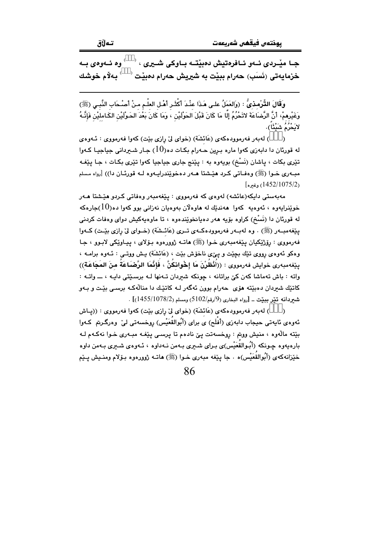جبا مٽردي ئيهو ئيافرهتيش دهيٽتيه بياوکي شپري ، ' وه ئلهوهي به <sup>'</sup> بەلام خوشك خزمايەتى (نَسَب) حەرام بېيْت بە شيريش حەرام دەبيْت

وَقَالَ القُّرْمذيُّ : (وَالعَمَلُ علـى هَـذَا عنْـدَ أكْثَـر أهْـل العلْـم مـنْ أَصْـحَاب النَّبـى (ﷺ) وَغَيْرِممْ، أَنَّ الرَّضَاعَةَ لاتَحْرُمُ إِلَّا مَا كَانَ قَبْلَ الحَوْلَيْنِ ، وَمَا كَانَ بَعْدَ الحَوْلَيْن الكَـامليْن فَإِنَّـهُ لايَحْرُمُ شَيْئًا).

) له به رفه رمووده که ی (عَائشَة) (خوای لی رازی بیّت) که وا فه رمووی : ئـهوه ی  $\lambda$ له قورئان دا دابهزي کهوا ماره برين حـهرام بکـات ده $(10)$  جـار شــرداني جياجيـا کـهوا تێري بکات ، پاشان (نَسْخ) بويهوه به : پێنج جاري جياجيا کهوا تێري بکـات ، جـا پێفـه مبـهري خـوا (ﷺ) وهفـاتي كـرد هێـشتا هـهر دهخوێندراپـهوه لـه قورئـان دا)) [رواه مـسلم (1452/1075/2) وغيره]

مەبەستى دايكە(عائشە) لەوەي كە فەرمووى : يێغەمبەر وەفاتى كـردو ھێشتا ھـەر خوێنرايەوە ، ئەوەبە كەوا ھەندێك لە ھاوەلان بەوەبان نەزانى بوو كەوا دە $(10)$ جارەكە له قورنان دا (نَسْخ) کراوه بۆیه هەر دەيانخوێندەوە ، تا ماوەپەکیش دوای وەفات کردنى يێغەمبەر (ﷺ) . وه لەبەر فەرموودەكمەي تىرى (عَائىشَة) (خىواي لىْ رازى بێت) كىەوا فهرمووي : رۆژێکيان پێغهمبەري خـوا (ﷺ) ماتـه ژوورەوه بـۆلاي ، پيـاوێکي لابـوو ، جـا وهکو ئهوهي رپويي تنڍك بچێت و پێي ناخوش بێت ، (عَائشَة) پـش ووتــي : ئــهوه برامــه ، يێغەمبەرى خوايش فەرمورى : ((أَنْظُرْنَ مَا إِخْوانكُنَّ ، فَإِنَّمَا الرَّصْبَاعَةُ منَ المَجَاعَةِ)) واته : باش تەماشا كەن كىّ براتانە ، چونكە شىردان تـەنھا لـە برسىيّتى دابـە ، ـــ واتــە : کاتێك شيردان دەبێتە ھۆي حەرام بوون ئەگەر لــه كاتێك دا منالْهكـه برسـي بێت و بــهو شيردانه تني ببيّت \_ [رواه البخاري (9/رقم/5102) ومسلم (1455/1078/2)] .

) له به رفه رمووده که ی (عَائشَة) (خوای ليّ رازی بيّت) که وا فه رمووی : ((پاش ئەوەي ئايەتى حيجاب دابەزى (أَفْلَح) ي براي (أَبُوالقُعَيْس) روخسەتى لى ٘ وەرگىرىم كـەوا بێته ماڵەوه ، منیش ووتم : روخسەتت یێ نادەم تا یرسىي یێغـه مبـهرى خـوا نەكـهم لـه بارەيەوە چـونكە (أَبُـوالقَعَيْس)ى بـراى شــيرى بــەمن نــەداوە ، ئــەوەى شــيرى بــەمن داوە خێزانهکهي (أَبُوالقَعَيْس)ه ٠ جا پێغه مبهري خـوا (ﷺ) هاتـه ژوورهوه بـۆلام ومنـیش پـێم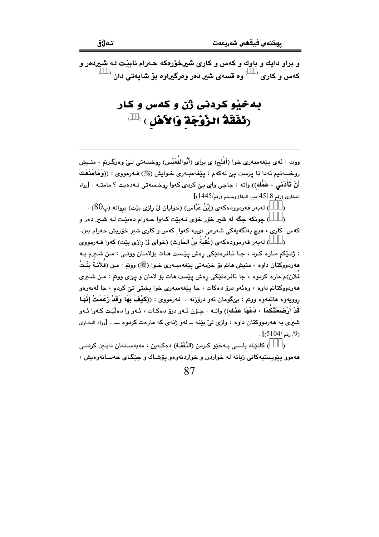و براو دايك و باوك و كهس و كارى شيرخۆرەكه حەرام نابيْت لـه شيردەر و 

## به خپْو کردنی ژُن و کهس و کار (**نَفَقَةُ الزَّوْجَةَ وَالأَهْل**ِ ) <sup>(</sup>

ووت : ئەي يێغەمبەرى خوا (أَفْلَح) ي براي (أَبُوالقُعَيْس) روخسەتى لـيْ وەرگـرىم ، منـيش روخسەتيم نەدا تا يرست يې نەكەم ، يێغەمبەرى خـوايش (ﷺ) فـەرمووى : ((وَمَامَنَعَكَ أَنْ تَأَذَّنَى ، عَمُّك)) واته : جاچى واى ييّ كردى كهوا روخسەتى نـﻪدەيت ؟ مامتـﻪ . [رواه  $[$ البخاري (رقم 4518 ديب البغا) ومسلم (رقم/1445)

) لهبهر فهرموودهكهي (إِبْنُ عَبَّاس) (خوايان ليّ رازي بێت) بروانه (پ $(80)$  .

) چونکه جگه له شير خۆر خۆی نـهبێت کـهوا حـهرام دهبێـت لـه شـير دهر و  $\lambda$ کهس کاری ، هیچ بهلگهیهکی شهرعی نیمیه کهوا کهس و کاری شیر خۆریش حهرام ببن.

) لهبهر فهرموودهكهى (عُقْبَةُ بنُ الحَارِث) (خواي ليّ رازي بيّت) كهوا فــهرمووي  $\lambda$ : ژنٽکم ماره کرد ، جا ئافرهتٽکي رهش يٽست هات بۆلامان ووتي : من شيرم به هەردووكتان داوە ، منيش هاتم بۆ خزمەتى يێغەمبـەرى خـوا (ﷺ) ووتم : مـن (فلانَـة بِنْـتُ فَلان)م ماره کردوه ، جا ئافرەتێکى رەش بێست ھات بۆ لامان و بے٤ی ووبتر : مـن شـبری هەردووكتانم داوه ، وەئەو درۆ دەكات ، جا يێغەمبەرى خوا يشتى تێ كردم ، جا لەبەرەو روويهوه هاتمهوه ووتم : بيٌگومان ئهو درۆزنه . فهرمووي : ((كَيْفَ بِهَا وَقَدْ زَعَمَتْ إِنَّهَا قَدْ أَرْضَعَتْكُمَا ، دَعْهَا عَذْك)) واتـه : چـۆن ئـهو درۆ دەكـات ، ئـهو وا دەلێـت كـهوا ئـهو شیری به ههردووکتان داوه ، وازی لیّ بیّنه \_ لهو ژنهی که مارهت کردوه \_ . [رواه البخاری  $\cdot$  [5104/ رقم /5104/]

) كاتٽك باسے، بـﻪخێو كـردن (النَّفَقَـة) دەكـﻪين ، مەبەسـتمان دابـين كردنـي  $\lambda$ مهموو پێویستپهکانی ژیانه له خواردن و خواردنهوهو پۆشـاك و جێگـای حهسـانهوهیش ،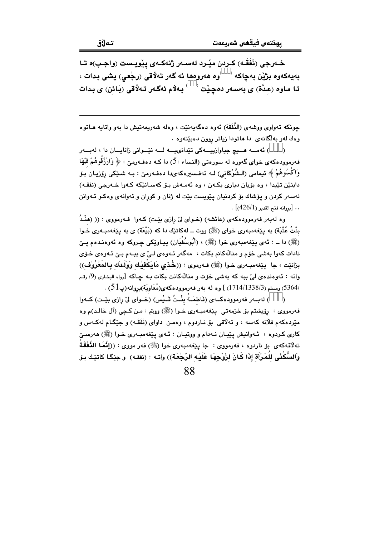خــهرجي (نَفَقَـه) كـردن ميْـرد لهســهر ژنهكــهي ييْويــست (واجـب)ه تــا بەيەكەوە بژێن بەچاكە <sup>‹ )</sup>وە ھەروەھا ئە گەر تەلاقى (رجْعى) يشى بدات ، تا ماوه (عدَّة) ي بەسەر دەچێت <sup>( )</sup> بەلاْم ئەگەر تەلاقى (بَائن) ي بدات

جونکه تەواوى ووشەي (النَّفَقَة) ئەوە دەگەپەنێت ، وەلە شەريعەتيش دا بەو واتابە ھـاتوە وهك لهو به لكانهى دا هاتودا زياتر روون دهبيتهوه .

) ئەمسە ھىيچ جياوازييسەكى تێدانىيسە لسە نێسوانى زانايسان دا ، لەبسەر  $\rightarrow$ فهرموودهکهی خوای گهوره له سورهتی (النساء :5) دا کـه دهفـهرمێ : ﴿ وَارْزُقُوهُمْ فَيْهَا وَاكْسُوهُمْ ﴾ ئيمامي (الشَّوْكَاني) لـه تەفـسىرەكەيدا دەفـەرمێ : بـه شـێِكى رۆزيـان بـۆ دابنٽن تٽيدا ، وه بۆيان دياري بکـهن ، وه ئهمـهش بـۆ کهسـانٽِکه کـهوا خـهرجي (نفقـه) لهسهر کردن و پۆشاك بۆ کردنيان يێويست بێت له ژنان و کوران و ئهوانهى وهکو ئـهوانن  $\cdot$  [بروانه فتح القدير (426/1)].

وه لهبهر فهرموودهکهی (عائشه) (خـوای لیّ رازی بیّـت) کـهوا ۖ فـهرمووی : (( (هنْـدُ بِنْتُ عُتْبَة) به یێفهمبهری خوای (ﷺ) ووت ــ لهکاتێك دا كه (بَیْعَة) ی به یێفهمبـهری خـوا (ﷺ) دا ــ : ئەي يێغەمبەرى خوا (ﷺ) ، (أَبُوسُفْيَان) ييـاوێكى چـروكە وە ئەوەنىدەم يــێ نادات کهوا بهشی خوّم و منالّهکانم بکات ، مهگهر ئـهوهى لـیّ ی ببـهم بـیّ ئـهوهى خـوّى بزانيّت ، جا ٢ينغهمبـهري خـوا (ﷺ) فـهرموي : ((خُـدْي مَايَكْفيْك وَوَلَـدَك بِـالمَعْرُوْف)) واته : ئەوەندەي لے' بيه كه پەشى خۆت و منالّەكانت بكات بـه جـاكه [رواه البخارى (9/ رقم ، دسلم (338/3/1714/1338) ] وه له بهر فهرموودهكهي(مُعَاوِيَة)بروانه(پ $(51$ ) .  $\,$ 

) لهبــهر فهرموودهكــهى (فَاطمَــةُ بِنْــتُ قَــيْس) (خــواي ليّ رازي بِيّـت) كــهوا  $\lambda$ فهرمووي : رۆيشتم بۆ خزمەتى پێغەمبەرى خـوا (ﷺ) ووتم : مـن كـچى (آل خالـد)م وه مێردهکهم فلانه کهسه ، و تهلاقی بۆ نـاردوم ، وهمـن داوای (نَفَقَـه) و جێِگـام لهکـهس و کاري کردوه ، ئـهوانيش يێيـان نـهدام و ووتيـان : ئـهي يێغهمبـهري خـوا (ﷺ) ههرسـێ تهلَّاقهكهى بق ناردوه ، فهرمووى : جا يێغهمبهرى خوا (ﷺ) فهر مووى : ((إِنَّمَا النَّفَقَةُ وَالسُّكْنَى للُمَرْأَة إِذَا كَانَ لزَوْجِهَا عَلَيْه الرّجْعَة)) واتـه : (نفقـه) و جێِّگـا كاتێـك بـۆ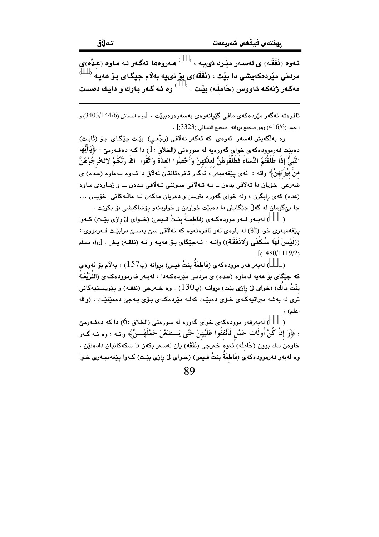ئـهوهِ (نَفَقَه) ي لهسـهر مێـرد نيدـه ، ` ` هـهروهها ئهگـهر لـه مـاوهِ (عـدٌه)ي مردنی مێردهکهیشی دا بێت ، (نَفَقَه)ی بۆ نىيه بهلام جیگای بۆ هەیـه  $^{\flat}$ مهگـهر ژنهكـه ئـاووس (حَاملَـه) بِيْت  $\left\langle \begin{array}{c} \downarrow \end{array} \right\rangle$ وه ئـه گـهر بـاوك و دابـك دهسـت

ئافرەتە ئەگەر مێردەكەي مافى گێرانەوەي بەسەرەوەببێت . [رواه النسائى (3403/144/6) و  $\sim$  1 حمد (4 $16/6$ ) وهو صحيح بروانه -صحيح النسائي (3323).

وه بەلگەيش لەسەر ئەوەي كە ئەگەر تەلاقىي (رجْعى) بێت جێگاى بۆ (ئَابت) دهبێت فهرموودهکهی خوای گهورمیه له سورهتی (الطلاق : 1) دا کـه دهفـهرمێ : ﴿يَاأَيُّهَا النَّبِيُّ إذَا طَلَّقْتُمُ النِّسَاءَ فَطَلِّقُوهُنَّ لعدَّتهنَّ وَأَحْصُوا العدَّةَ وَاتَّقُوا ۚ اللّهَ رَبَّكُمْ لاتَخْرجُوْهُنَّ منْ بِيُوْتِهِنَّ﴾ واته : ئەي يێغەمبەر ، ئەگەر ئافرەتانتان تەلاق دا ئـەوە لـەماوە (عـدە) ي شَهرِعِي ۖ خوّيان دا ته لَّاقى بدەن ــ بـه تـه لَّاقى سـوننى تـه لَّاقى بـدەن ـــ و ژمـارەى مـاوە (عده) کهی رابگرن ، وله خوای گهوره بترسن و دهریان مهکهن لـه مالـْهکانی خوّیان ... جا بے گومان له گەلّ جێگايش دا دەبێت خواردن و خواردنەو پۆشاكىشى بۆ بكرێت .

) لهبــهر فــهر موودهكــهي (فَاطمَــةٌ بنــتُ قــيس) (خــواي ليّ رازي بيّـت) كــهوا  $\lambda$ يٽغەمبەرى خوا (ﷺ) له بارەي ئەو ئافرەتەوە كە تەلاقى سىّ بەسىّ درابيّت فـەرمووى : ((لَيْسَ لَهَا سُكْنَى وَلانَفَقَة)) واتــه : نــهجێگای بـوْ ههيــه و نــه (نفقـه) يـش . [رواه مسلم  $\lceil (1480/1119/2) \rceil$ 

) لەبەر فەر موودەكەي (فَاطمَةُ بِنتُ قيس) بروانە (پ $157$ ) ، بەلام بۆ ئەوەي  $\lambda$ که حێگای بۆ ھەبە لەماوە (عـدە) ی مردنـی مێردەکـەدا ، لەبـەر فەرموودەکـەی (الفَرَيْعَـةُ بِنْتُ مَالُك) (خواي لِيّ رازي بِيّت) بروانـه (پ130) ، وه خـهرجي (نفقـه) و پێويـستيهكاني .<br>ترې له بهشه ميراتپهکهي خـۆي دهېێـت کهلـه مێردهکـهي بـۆي بـهجيّ دهمێنێـت . (والله اعلم) .

) لەبەرفەر موودەكەي خواي گەورە لە سورەتى (الطلاق :6) دا كە دەفـەرمێ : ﴿وَ إِنْ كُنَّ أُولَاتٍ حَمْلٍ فَأَنْفَقُوا عَلَيْهِنَّ حَتَّى يَـــضَعْنَ حَمْلَهُـــنَّ﴾ واتــه : وه ئــه گــهر خاوەن سك بوون (حَاملَه) ئەوە خەرجى (نَفَقَه) يان لەسەر بكەن تا سكەكانيان دادەنێن . وه لهبهر فهرموودهكهي (فَاطمَةَ بِنتُ قـيس) (خـواي ليّ رازي بيّـت) كـهوا ييّغهمبـهري خـوا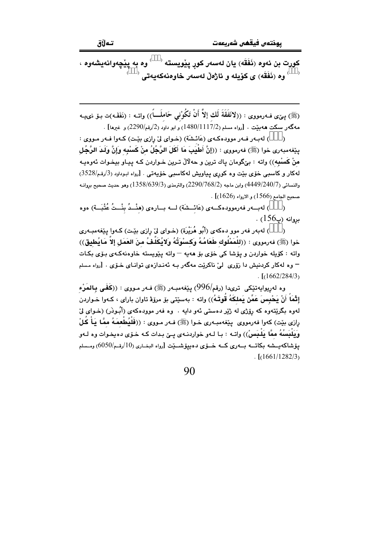کورت بن ئەوە (نَفَقَه) يان لەسەر کور يێويستە <sup>( )</sup> وە بە يێچەوانەيشەوە ، <sup>)</sup> وه (نَفَقَه) ي كۆيله و ئاژەلْ لەسەر خاوەنەكەبەتى

(ﷺ) بِيَىٰ فــه(مووى : ((لاَنَفَقَةَ لَك إلاَّ أَنْ تَكُوْنِي حَاملَــــاً)) واتــه : (نَفَقَـه)ت بــق نبيبـه .<br>مهگەر سكت هەمبيّت . [رواه مسلم (1117/2/1480) و ابو داود (2/رقم/2290) و غيرها] .

) لهبهر فـهر موودهكـهي (عَائـشَة) (خـواي ليّ رازي بيّـت) كـهوا فـهر مـووي :  $\lambda$ يتفهمبهري خوا (ﷺ) فهرمووي : ((إِنَّ أَطْيَبَ مَا أَكَلَ الرَّجُلُ منْ كَسْبِه وَإِنَّ وَلَـدَ الرَّجُل منْ كَسبْهِ)) واته : بيْگومان ياك ترين و حهلالْ تـرين خـواردن كـه پيـاو بيخـوات ئهوهيـه لهكار و كاسبي خۆي بێت وه كورى پياويش لهكاسبي خۆيەتى . [رواه ابوداود (3/رقم/3528) والنسائي (4449/240/7) وابن ماجه (2290/768/2) والترمذي (3/639/3) (358) وهو حديث صحيح بروانـه . [(1626) منحيح الجامع (1566) و الارواء (1626).

) لەبىــەر فەرموودەكـــەي (عَائــشَة) لـــە بـــارەي (هنْـــدُ بِنْــتُ عُتْبَــة) ەوە  $\lambda$  $\cdot$  بروانه (پ $156$ )

) لهبهر فهر موو دهکهي (أَبُو هُرَيْرَة) (خـواي ليّ رازي بێت) کـهوا پێغهمبـهري خوا (ﷺ) فەرمورى : ((للْمَمْلُوك طَعَامُـهُ وَكسْوَتُهُ وَلايُكَلَّـفُ منَ العَمَل إلاَّ مَـايُطيق)) واته : کۆیله خواردن و پۆشا کی خۆی بۆ ھەيە — واتە پێویستە خاوەنەکـەی بـۆی بکـات – وه لهکار کردنیش دا زۆری لیّ ناکریّت مهگەر بـه ئەنـدازەی توانـای خـۆی . [رواه مسلم  $\frac{1}{6}$  [(1662/284/3)

وه لەريوايەتێكى ترىدا (رقم/996) يێغەمبەر (ﷺ) فـەر مـووى : ((كَفَـى بِـالمَرْء إِثْمَاً أَنْ يَحْبِسَ عَمِّن يَملكَهُ قُوتَـهُ)) واته : بهسێتى بۆ مرۆِﭬ تاوان باراى ، كـهوا خـواردن لهوه بگرينتهوه که روّژي له ژير دهستي پُهو دايه . وه فهر موودهکهي (أُسُوذَر) (خـواي ليّ رازي بيّت) كهوا فهرمووي ييّغهمبـهري خـوا (ﷺ) فـهر مـووي : ((فَلْيُطْعِمَـهُ ممَّا يَـأْ كُلْ وَيَلْبَسُهُ ممَّا يَلْبَسُ)) واتـه : بـا لـهو خواردنـهـى يـِيّ بـدات كـه خـوّى دهيخـوات وه لـهو يۆشاكەيـــشە بكاتـــە بـــەرى كـــە خــۆي دەبيۆشـــێت [رواه البخــاري (10/رقــم/6050) ومــسلم  $\frac{1}{1661/1282/3}$